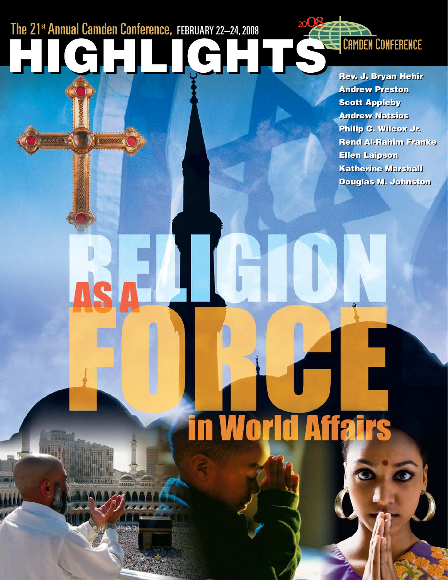# The 21st Annual Camden Conference, FEBRUARY 22-24, 2008 **HIGHLIGHTS HIGHLIGHTS**

**Alivest** 

**MATH** 

 $\frac{1}{2}$ 

**A** Distances

**Rev. J. Bryan Hehir Rev. J. Bryan Hehir Andrew Preston Andrew Preston Scott Appleby Scott Appleby Andrew Natsios Andrew Natsios Philip C. Wilcox Jr. Philip C. Wilcox Jr. Rend Al-Rahim Franke Rend Al-Rahim Franke Ellen Laipson Ellen Laipson Katherine Marshall Katherine Marshall Douglas M. Johnston Douglas M. Johnston**

**World Affai**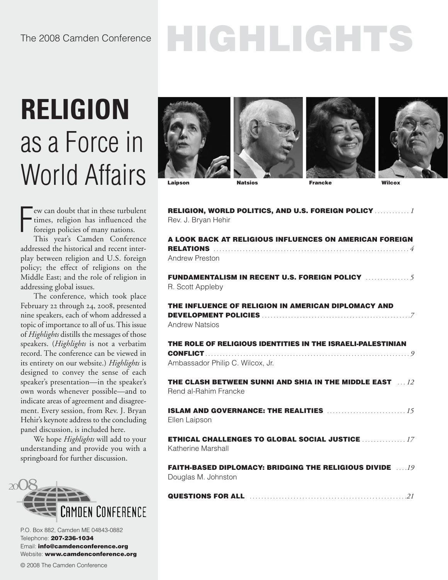# **RELIGION** as a Force in World Affairs

F ew can doubt that in these turbulent times, religion has influenced the foreign policies of many nations.

This year's Camden Conference addressed the historical and recent interplay between religion and U.S. foreign policy; the effect of religions on the Middle East; and the role of religion in addressing global issues.

The conference, which took place February 22 through 24, 2008, presented nine speakers, each of whom addressed a topic of importance to all of us. This issue of *Highlights* distills the messages of those speakers. (*Highlights* is not a verbatim record. The conference can be viewed in its entirety on our website.) *Highlights* is designed to convey the sense of each speaker's presentation—in the speaker's own words whenever possible—and to indicate areas of agreement and disagreement. Every session, from Rev. J. Bryan Hehir's keynote address to the concluding panel discussion, is included here.

We hope *Highlights* will add to your understanding and provide you with a springboard for further discussion.



P.O. Box 882, Camden ME 04843-0882 Telephone: **207-236-1034** Email: **info@camdenconference.org** Website: **www.camdenconference.org**







**RELIGION, WORLD POLITICS, AND U.S. FOREIGN POLICY** *. . . . . . . . . . . . 1*

**Laipson Natsios Francke Wilcox**

| Rev. J. Bryan Hehir                                                                         |
|---------------------------------------------------------------------------------------------|
| A LOOK BACK AT RELIGIOUS INFLUENCES ON AMERICAN FOREIGN                                     |
| <b>Andrew Preston</b>                                                                       |
| <b>FUNDAMENTALISM IN RECENT U.S. FOREIGN POLICY </b> 5<br>R. Scott Appleby                  |
| THE INFLUENCE OF RELIGION IN AMERICAN DIPLOMACY AND                                         |
| <b>Andrew Natsios</b>                                                                       |
| THE ROLE OF RELIGIOUS IDENTITIES IN THE ISRAELI-PALESTINIAN                                 |
| Ambassador Philip C. Wilcox, Jr.                                                            |
| <b>THE CLASH BETWEEN SUNNI AND SHIA IN THE MIDDLE EAST 49.12</b><br>Rend al-Rahim Francke   |
| Ellen Laipson                                                                               |
| <b>ETHICAL CHALLENGES TO GLOBAL SOCIAL JUSTICE  17</b><br>Katherine Marshall                |
| <b>FAITH-BASED DIPLOMACY: BRIDGING THE RELIGIOUS DIVIDE ATLACTED</b><br>Douglas M. Johnston |
|                                                                                             |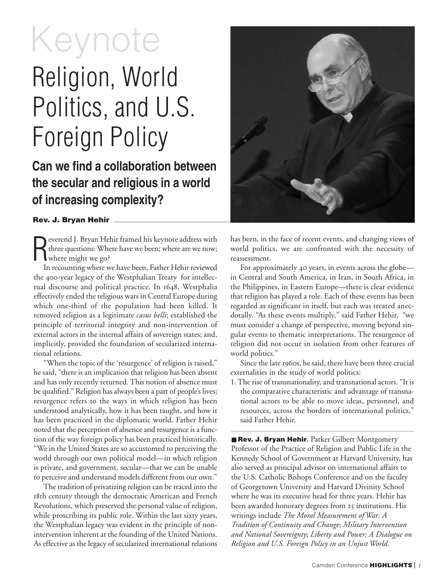# Keynote

# Religion, World Politics, and U.S. Foreign Policy

## **Can we find a collaboration between the secular and religious in a world of increasing complexity?**

#### **Rev. J. Bryan Hehir**

R everend J. Bryan Hehir framed his keynote address with three questions: Where have we been; where are we now; where might we go?

In recounting where we have been, Father Hehir reviewed the 400-year legacy of the Westphalian Treaty for intellectual discourse and political practice. In 1648, Westphalia effectively ended the religious wars in Central Europe during which one-third of the population had been killed. It removed religion as a legitimate *casus belli*; established the principle of territorial integrity and non-intervention of external actors in the internal affairs of sovereign states; and, implicitly, provided the foundation of secularized international relations.

"When the topic of the 'resurgence' of religion is raised," he said, "there is an implication that religion has been absent and has only recently returned. This notion of absence must be qualified." Religion has always been a part of people's lives; resurgence refers to the ways in which religion has been understood analytically, how it has been taught, and how it has been practiced in the diplomatic world. Father Hehir noted that the perception of absence and resurgence is a function of the way foreign policy has been practiced historically. "We in the United States are so accustomed to perceiving the world through our own political model—in which religion is private, and government, secular—that we can be unable to perceive and understand models different from our own."

The tradition of privatizing religion can be traced into the th century through the democratic American and French Revolutions, which preserved the personal value of religion, while proscribing its public role. Within the last sixty years, the Westphalian legacy was evident in the principle of nonintervention inherent at the founding of the United Nations. As effective as the legacy of secularized international relations



has been, in the face of recent events, and changing views of world politics, we are confronted with the necessity of reassessment.

For approximately 40 years, in events across the globe in Central and South America, in Iran, in South Africa, in the Philippines, in Eastern Europe—there is clear evidence that religion has played a role. Each of these events has been regarded as significant in itself, but each was treated anecdotally. "As these events multiply," said Father Hehir, "we must consider a change of perspective, moving beyond singular events to thematic interpretations. The resurgence of religion did not occur in isolation from other features of world politics."

Since the late 1960s, he said, there have been three crucial externalities in the study of world politics:

1. The rise of transnationality, and transnational actors. "It is the comparative characteristic and advantage of transnational actors to be able to move ideas, personnel, and resources, across the borders of international politics," said Father Hehir.

■ Rev. J. Bryan Hehir, Parker Gilbert Montgomery Professor of the Practice of Religion and Public Life in the Kennedy School of Government at Harvard University, has also served as principal advisor on international affairs to the U.S. Catholic Bishops Conference and on the faculty of Georgetown University and Harvard Divinity School where he was its executive head for three years. Hehir has been awarded honorary degrees from 25 institutions. His writings include *The Moral Measurement of War: A Tradition of Continuity and Change*; *Military Intervention and National Sovereignty*; *Liberty and Power: A Dialogue on Religion and U.S. Foreign Policy in an Unjust World*.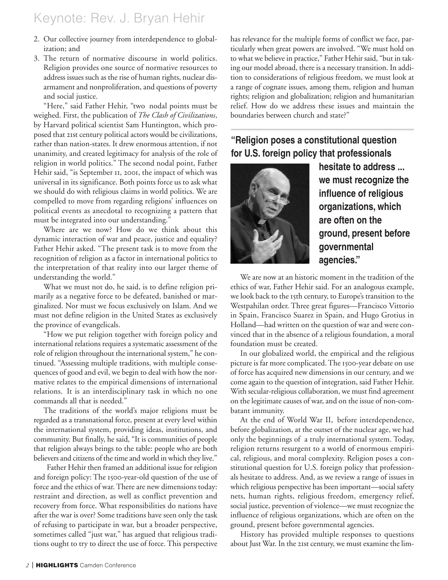## Keynote: Rev. J. Bryan Hehir

- 2. Our collective journey from interdependence to globalization; and
- 3. The return of normative discourse in world politics. Religion provides one source of normative resources to address issues such as the rise of human rights, nuclear disarmament and nonproliferation, and questions of poverty and social justice.

"Here," said Father Hehir, "two nodal points must be weighed. First, the publication of *The Clash of Civilizations*, by Harvard political scientist Sam Huntington, which proposed that 21st century political actors would be civilizations, rather than nation-states. It drew enormous attention, if not unanimity, and created legitimacy for analysis of the role of religion in world politics." The second nodal point, Father Hehir said, "is September II, 2001, the impact of which was universal in its significance. Both points force us to ask what we should do with religious claims in world politics. We are compelled to move from regarding religions' influences on political events as anecdotal to recognizing a pattern that must be integrated into our understanding."

Where are we now? How do we think about this dynamic interaction of war and peace, justice and equality? Father Hehir asked. "The present task is to move from the recognition of religion as a factor in international politics to the interpretation of that reality into our larger theme of understanding the world."

What we must not do, he said, is to define religion primarily as a negative force to be defeated, banished or marginalized. Nor must we focus exclusively on Islam. And we must not define religion in the United States as exclusively the province of evangelicals.

"How we put religion together with foreign policy and international relations requires a systematic assessment of the role of religion throughout the international system," he continued. "Assessing multiple traditions, with multiple consequences of good and evil, we begin to deal with how the normative relates to the empirical dimensions of international relations. It is an interdisciplinary task in which no one commands all that is needed."

The traditions of the world's major religions must be regarded as a transnational force, present at every level within the international system, providing ideas, institutions, and community. But finally, he said, "It is communities of people that religion always brings to the table: people who are both believers and citizens of the time and world in which they live."

Father Hehir then framed an additional issue for religion and foreign policy: The 1500-year-old question of the use of force and the ethics of war. There are new dimensions today: restraint and direction, as well as conflict prevention and recovery from force. What responsibilities do nations have after the war is over? Some traditions have seen only the task of refusing to participate in war, but a broader perspective, sometimes called "just war," has argued that religious traditions ought to try to direct the use of force. This perspective

has relevance for the multiple forms of conflict we face, particularly when great powers are involved. "We must hold on to what we believe in practice," Father Hehir said, "but in taking our model abroad, there is a necessary transition. In addition to considerations of religious freedom, we must look at a range of cognate issues, among them, religion and human rights; religion and globalization; religion and humanitarian relief. How do we address these issues and maintain the boundaries between church and state?"

### **"Religion poses a constitutional question for U.S. foreign policy that professionals**



**hesitate to address ... we must recognize the influence of religious organizations, which are often on the ground, present before governmental agencies."**

We are now at an historic moment in the tradition of the ethics of war, Father Hehir said. For an analogous example, we look back to the 15th century, to Europe's transition to the Westpahilan order. Three great figures—Francisco Vittorio in Spain, Francisco Suarez in Spain, and Hugo Grotius in Holland—had written on the question of war and were convinced that in the absence of a religious foundation, a moral foundation must be created.

In our globalized world, the empirical and the religious picture is far more complicated. The 1500-year debate on use of force has acquired new dimensions in our century, and we come again to the question of integration, said Father Hehir. With secular-religious collaboration, we must find agreement on the legitimate causes of war, and on the issue of non-combatant immunity.

At the end of World War II, before interdependence, before globalization, at the outset of the nuclear age, we had only the beginnings of a truly international system. Today, religion returns resurgent to a world of enormous empirical, religious, and moral complexity. Religion poses a constitutional question for U.S. foreign policy that professionals hesitate to address. And, as we review a range of issues in which religious perspective has been important—social safety nets, human rights, religious freedom, emergency relief, social justice, prevention of violence—we must recognize the influence of religious organizations, which are often on the ground, present before governmental agencies.

History has provided multiple responses to questions about Just War. In the 21st century, we must examine the lim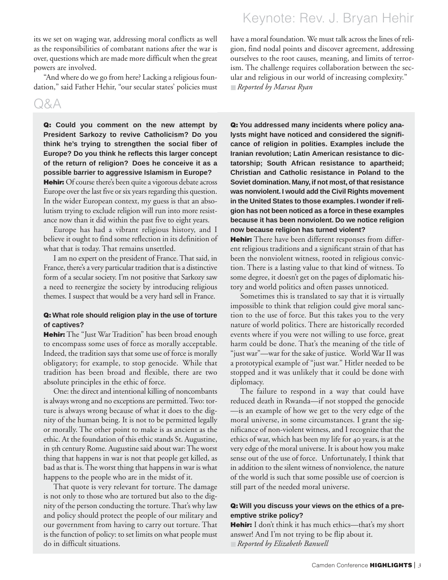its we set on waging war, addressing moral conflicts as well as the responsibilities of combatant nations after the war is over, questions which are made more difficult when the great powers are involved.

"And where do we go from here? Lacking a religious foundation," said Father Hehir, "our secular states' policies must

### Q&A

**Q: Could you comment on the new attempt by President Sarkozy to revive Catholicism? Do you think he's trying to strengthen the social fiber of Europe? Do you think he reflects this larger concept of the return of religion? Does he conceive it as a possible barrier to aggressive Islamism in Europe?**

**Hehir:** Of course there's been quite a vigorous debate across Europe over the last five or six years regarding this question. In the wider European context, my guess is that an absolutism trying to exclude religion will run into more resistance now than it did within the past five to eight years.

Europe has had a vibrant religious history, and I believe it ought to find some reflection in its definition of what that is today. That remains unsettled.

I am no expert on the president of France. That said, in France, there's a very particular tradition that is a distinctive form of a secular society. I'm not positive that Sarkozy saw a need to reenergize the society by introducing religious themes. I suspect that would be a very hard sell in France.

#### **Q: What role should religion play in the use of torture of captives?**

**Hehir:** The "Just War Tradition" has been broad enough to encompass some uses of force as morally acceptable. Indeed, the tradition says that some use of force is morally obligatory; for example, to stop genocide. While that tradition has been broad and flexible, there are two absolute principles in the ethic of force.

One: the direct and intentional killing of noncombants is always wrong and no exceptions are permitted. Two: torture is always wrong because of what it does to the dignity of the human being. It is not to be permitted legally or morally. The other point to make is as ancient as the ethic. At the foundation of this ethic stands St. Augustine, in 5th century Rome. Augustine said about war: The worst thing that happens in war is not that people get killed, as bad as that is. The worst thing that happens in war is what happens to the people who are in the midst of it.

That quote is very relevant for torture. The damage is not only to those who are tortured but also to the dignity of the person conducting the torture. That's why law and policy should protect the people of our military and our government from having to carry out torture. That is the function of policy: to set limits on what people must do in difficult situations.

## Keynote: Rev. J. Bryan Hehir

have a moral foundation. We must talk across the lines of religion, find nodal points and discover agreement, addressing ourselves to the root causes, meaning, and limits of terrorism. The challenge requires collaboration between the secular and religious in our world of increasing complexity." ■ *Reported by Marsea Ryan*

**Q: You addressed many incidents where policy analysts might have noticed and considered the significance of religion in polities. Examples include the Iranian revolution; Latin American resistance to dictatorship; South African resistance to apartheid; Christian and Catholic resistance in Poland to the Soviet domination. Many, if not most, of that resistance was nonviolent. I would add the Civil Rights movement in the United States to those examples. I wonder if religion has not been noticed as a force in these examples because it has been nonviolent. Do we notice religion now because religion has turned violent?** 

**Hehir:** There have been different responses from different religious traditions and a significant strain of that has been the nonviolent witness, rooted in religious conviction. There is a lasting value to that kind of witness. To some degree, it doesn't get on the pages of diplomatic history and world politics and often passes unnoticed.

Sometimes this is translated to say that it is virtually impossible to think that religion could give moral sanction to the use of force. But this takes you to the very nature of world politics. There are historically recorded events where if you were not willing to use force, great harm could be done. That's the meaning of the title of "just war"—war for the sake of justice. World War II was a prototypical example of "just war." Hitler needed to be stopped and it was unlikely that it could be done with diplomacy.

The failure to respond in a way that could have reduced death in Rwanda—if not stopped the genocide —is an example of how we get to the very edge of the moral universe, in some circumstances. I grant the significance of non-violent witness, and I recognize that the ethics of war, which has been my life for 40 years, is at the very edge of the moral universe. It is about how you make sense out of the use of force. Unfortunately, I think that in addition to the silent witness of nonviolence, the nature of the world is such that some possible use of coercion is still part of the needed moral universe.

#### **Q: Will you discuss your views on the ethics of a preemptive strike policy?**

**Hehir:** I don't think it has much ethics—that's my short answer! And I'm not trying to be flip about it.

■ *Reported by Elizabeth Banwell*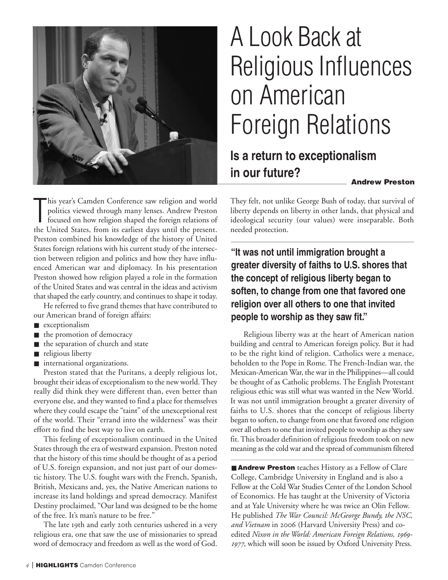

# A Look Back at Religious Influences on American Foreign Relations

## **Is a return to exceptionalism in our future?**

**Andrew Preston**

This year's Camden Conference saw religion and world politics viewed through many lenses. Andrew Preston focused on how religion shaped the foreign relations of the United States, from its earliest days until the present. his year's Camden Conference saw religion and world politics viewed through many lenses. Andrew Preston focused on how religion shaped the foreign relations of Preston combined his knowledge of the history of United States foreign relations with his current study of the intersection between religion and politics and how they have influenced American war and diplomacy. In his presentation Preston showed how religion played a role in the formation of the United States and was central in the ideas and activism that shaped the early country, and continues to shape it today.

He referred to five grand themes that have contributed to our American brand of foreign affairs:

- exceptionalism
- the promotion of democracy
- the separation of church and state
- religious liberty
- international organizations.

Preston stated that the Puritans, a deeply religious lot, brought their ideas of exceptionalism to the new world. They really did think they were different than, even better than everyone else, and they wanted to find a place for themselves where they could escape the "taint" of the unexceptional rest of the world. Their "errand into the wilderness" was their effort to find the best way to live on earth.

This feeling of exceptionalism continued in the United States through the era of westward expansion. Preston noted that the history of this time should be thought of as a period of U.S. foreign expansion, and not just part of our domestic history. The U.S. fought wars with the French, Spanish, British, Mexicans and, yes, the Native American nations to increase its land holdings and spread democracy. Manifest Destiny proclaimed, "Our land was designed to be the home of the free. It's man's nature to be free."

The late 19th and early 20th centuries ushered in a very religious era, one that saw the use of missionaries to spread word of democracy and freedom as well as the word of God.

They felt, not unlike George Bush of today, that survival of liberty depends on liberty in other lands, that physical and ideological security (our values) were inseparable. Both needed protection.

**"It was not until immigration brought a greater diversity of faiths to U.S. shores that the concept of religious liberty began to soften, to change from one that favored one religion over all others to one that invited people to worship as they saw fit."**

Religious liberty was at the heart of American nation building and central to American foreign policy. But it had to be the right kind of religion. Catholics were a menace, beholden to the Pope in Rome. The French-Indian war, the Mexican-American War, the war in the Philippines—all could be thought of as Catholic problems. The English Protestant religious ethic was still what was wanted in the New World. It was not until immigration brought a greater diversity of faiths to U.S. shores that the concept of religious liberty began to soften, to change from one that favored one religion over all others to one that invited people to worship as they saw fit. This broader definition of religious freedom took on new meaning as the cold war and the spread of communism filtered

■ **Andrew Preston** teaches History as a Fellow of Clare College, Cambridge University in England and is also a Fellow at the Cold War Studies Center of the London School of Economics. He has taught at the University of Victoria and at Yale University where he was twice an Olin Fellow. He published *The War Council: McGeorge Bundy, the NSC,* and Vietnam in 2006 (Harvard University Press) and coedited *Nixon in the World: American Foreign Relations, 1969-*1977, which will soon be issued by Oxford University Press.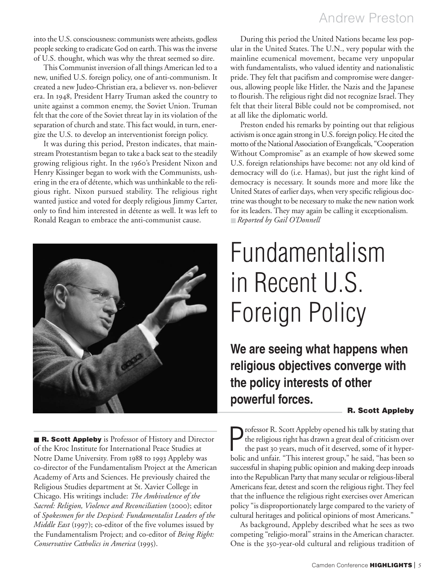Andrew Preston

into the U.S. consciousness: communists were atheists, godless people seeking to eradicate God on earth. This was the inverse of U.S. thought, which was why the threat seemed so dire.

This Communist inversion of all things American led to a new, unified U.S. foreign policy, one of anti-communism. It created a new Judeo-Christian era, a believer vs. non-believer era. In 1948, President Harry Truman asked the country to unite against a common enemy, the Soviet Union. Truman felt that the core of the Soviet threat lay in its violation of the separation of church and state. This fact would, in turn, energize the U.S. to develop an interventionist foreign policy.

It was during this period, Preston indicates, that mainstream Protestantism began to take a back seat to the steadily growing religious right. In the 1960's President Nixon and Henry Kissinger began to work with the Communists, ushering in the era of détente, which was unthinkable to the religious right. Nixon pursued stability. The religious right wanted justice and voted for deeply religious Jimmy Carter, only to find him interested in détente as well. It was left to Ronald Reagan to embrace the anti-communist cause.



■ **R. Scott Appleby** is Professor of History and Director of the Kroc Institute for International Peace Studies at Notre Dame University. From 1988 to 1993 Appleby was co-director of the Fundamentalism Project at the American Academy of Arts and Sciences. He previously chaired the Religious Studies department at St. Xavier College in Chicago. His writings include: *The Ambivalence of the Sacred: Religion, Violence and Reconciliation* (2000); editor of *Spokesmen for the Despised: Fundamentalist Leaders of the Middle East* (1997); co-editor of the five volumes issued by the Fundamentalism Project; and co-editor of *Being Right: Conservative Catholics in America* (1995).

During this period the United Nations became less popular in the United States. The U.N., very popular with the mainline ecumenical movement, became very unpopular with fundamentalists, who valued identity and nationalistic pride. They felt that pacifism and compromise were dangerous, allowing people like Hitler, the Nazis and the Japanese to flourish. The religious right did not recognize Israel. They felt that their literal Bible could not be compromised, not at all like the diplomatic world.

Preston ended his remarks by pointing out that religious activism is once again strong in U.S. foreign policy. He cited the motto of the National Association of Evangelicals, "Cooperation Without Compromise" as an example of how skewed some U.S. foreign relationships have become: not any old kind of democracy will do (i.e. Hamas), but just the right kind of democracy is necessary. It sounds more and more like the United States of earlier days, when very specific religious doctrine was thought to be necessary to make the new nation work for its leaders. They may again be calling it exceptionalism. ■ *Reported by Gail O'Donnell*

# Fundamentalism in Recent U.S. Foreign Policy

**We are seeing what happens when religious objectives converge with the policy interests of other powerful forces.**

#### **R. Scott Appleby**

**P** rofessor R. Scott Appleby opened his talk by stating that the religious right has drawn a great deal of criticism over the past 30 years, much of it deserved, some of it hyperbolic and unfair. "This interest group," he rofessor R. Scott Appleby opened his talk by stating that the religious right has drawn a great deal of criticism over the past 30 years, much of it deserved, some of it hypersuccessful in shaping public opinion and making deep inroads into the Republican Party that many secular or religious-liberal Americans fear, detest and scorn the religious right. They feel that the influence the religious right exercises over American policy "is disproportionately large compared to the variety of cultural heritages and political opinions of most Americans."

As background, Appleby described what he sees as two competing "religio-moral" strains in the American character. One is the 350-year-old cultural and religious tradition of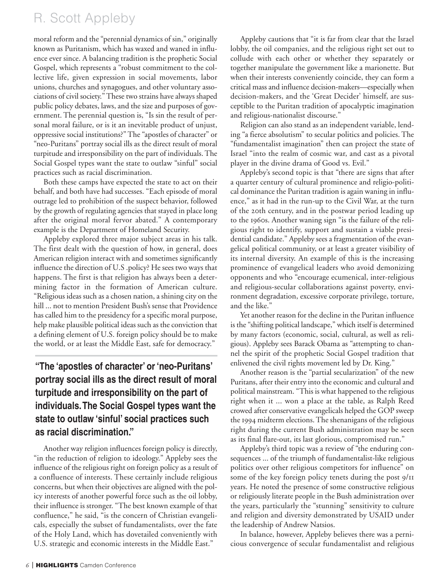## R. Scott Appleby

moral reform and the "perennial dynamics of sin," originally known as Puritanism, which has waxed and waned in influence ever since. A balancing tradition is the prophetic Social Gospel, which represents a "robust commitment to the collective life, given expression in social movements, labor unions, churches and synagogues, and other voluntary associations of civil society." These two strains have always shaped public policy debates, laws, and the size and purposes of government. The perennial question is, "Is sin the result of personal moral failure, or is it an inevitable product of unjust, oppressive social institutions?" The "apostles of character" or "neo-Puritans" portray social ills as the direct result of moral turpitude and irresponsibility on the part of individuals. The Social Gospel types want the state to outlaw "sinful" social practices such as racial discrimination.

Both these camps have expected the state to act on their behalf, and both have had successes. "Each episode of moral outrage led to prohibition of the suspect behavior, followed by the growth of regulating agencies that stayed in place long after the original moral fervor abated." A contemporary example is the Department of Homeland Security.

Appleby explored three major subject areas in his talk. The first dealt with the question of how, in general, does American religion interact with and sometimes significantly influence the direction of U.S .policy? He sees two ways that happens. The first is that religion has always been a determining factor in the formation of American culture. "Religious ideas such as a chosen nation, a shining city on the hill ... not to mention President Bush's sense that Providence has called him to the presidency for a specific moral purpose, help make plausible political ideas such as the conviction that a defining element of U.S. foreign policy should be to make the world, or at least the Middle East, safe for democracy."

### **"The 'apostles of character' or 'neo-Puritans' portray social ills as the direct result of moral turpitude and irresponsibility on the part of individuals.The Social Gospel types want the state to outlaw 'sinful' social practices such as racial discrimination."**

Another way religion influences foreign policy is directly, "in the reduction of religion to ideology." Appleby sees the influence of the religious right on foreign policy as a result of a confluence of interests. These certainly include religious concerns, but when their objectives are aligned with the policy interests of another powerful force such as the oil lobby, their influence is stronger. "The best known example of that confluence," he said, "is the concern of Christian evangelicals, especially the subset of fundamentalists, over the fate of the Holy Land, which has dovetailed conveniently with U.S. strategic and economic interests in the Middle East."

Appleby cautions that "it is far from clear that the Israel lobby, the oil companies, and the religious right set out to collude with each other or whether they separately or together manipulate the government like a marionette. But when their interests conveniently coincide, they can form a critical mass and influence decision-makers—especially when decision-makers, and the 'Great Decider' himself, are susceptible to the Puritan tradition of apocalyptic imagination and religious-nationalist discourse."

Religion can also stand as an independent variable, lending "a fierce absolutism" to secular politics and policies. The "fundamentalist imagination" then can project the state of Israel "into the realm of cosmic war, and cast as a pivotal player in the divine drama of Good vs. Evil."

Appleby's second topic is that "there are signs that after a quarter century of cultural prominence and religio-political dominance the Puritan tradition is again waning in influence," as it had in the run-up to the Civil War, at the turn of the zoth century, and in the postwar period leading up to the 1960s. Another waning sign "is the failure of the religious right to identify, support and sustain a viable presidential candidate." Appleby sees a fragmentation of the evangelical political community, or at least a greater visibility of its internal diversity. An example of this is the increasing prominence of evangelical leaders who avoid demonizing opponents and who "encourage ecumenical, inter-religious and religious-secular collaborations against poverty, environment degradation, excessive corporate privilege, torture, and the like."

Yet another reason for the decline in the Puritan influence is the "shifting political landscape," which itself is determined by many factors (economic, social, cultural, as well as religious). Appleby sees Barack Obama as "attempting to channel the spirit of the prophetic Social Gospel tradition that enlivened the civil rights movement led by Dr. King."

Another reason is the "partial secularization" of the new Puritans, after their entry into the economic and cultural and political mainstream. "This is what happened to the religious right when it ... won a place at the table, as Ralph Reed crowed after conservative evangelicals helped the GOP sweep the 1994 midterm elections. The shenanigans of the religious right during the current Bush administration may be seen as its final flare-out, its last glorious, compromised run."

Appleby's third topic was a review of "the enduring consequences ... of the triumph of fundamentalist-like religious politics over other religious competitors for influence" on some of the key foreign policy tenets during the post  $9/11$ years. He noted the presence of some constructive religious or religiously literate people in the Bush administration over the years, particularly the "stunning" sensitivity to culture and religion and diversity demonstrated by USAID under the leadership of Andrew Natsios.

In balance, however, Appleby believes there was a pernicious convergence of secular fundamentalist and religious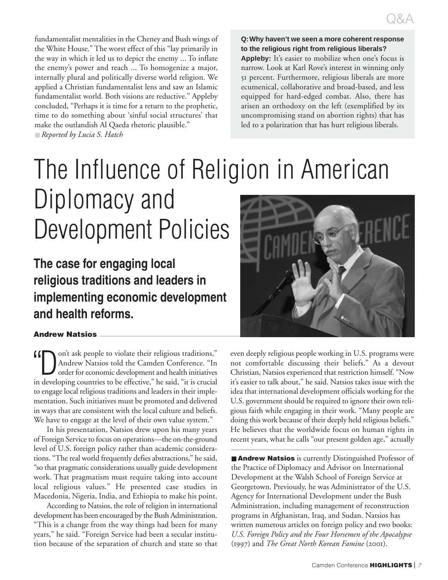fundamentalist mentalities in the Cheney and Bush wings of the White House." The worst effect of this "lay primarily in the way in which it led us to depict the enemy ... To inflate the enemy's power and reach ... To homogenize a major, internally plural and politically diverse world religion. We applied a Christian fundamentalist lens and saw an Islamic fundamentalist world. Both visions are reductive." Appleby concluded, "Perhaps it is time for a return to the prophetic, time to do something about 'sinful social structures' that make the outlandish Al Qaeda rhetoric plausible." ■ *Reported by Lucia S. Hatch*

**Q:Why haven't we seen a more coherent response to the religious right from religious liberals?** Appleby: It's easier to mobilize when one's focus is narrow. Look at Karl Rove's interest in winning only percent. Furthermore, religious liberals are more ecumenical, collaborative and broad-based, and less equipped for hard-edged combat. Also, there has arisen an orthodoxy on the left (exemplified by its uncompromising stand on abortion rights) that has led to a polarization that has hurt religious liberals.

# The Influence of Religion in American Diplomacy and Development Policies

**The case for engaging local religious traditions and leaders in implementing economic development and health reforms.**

#### **Andrew Natsios**

on't ask people to violate their religious traditions," Andrew Natsios told the Camden Conference. "In order for economic development and health initiatives in developing countries to be effective," he said, "it is crucial to engage local religious traditions and leaders in their implementation. Such initiatives must be promoted and delivered in ways that are consistent with the local culture and beliefs. We have to engage at the level of their own value system."

In his presentation, Natsios drew upon his many years of Foreign Service to focus on operations—the on-the-ground level of U.S. foreign policy rather than academic considerations. "The real world frequently defies abstractions," he said, "so that pragmatic considerations usually guide development work. That pragmatism must require taking into account local religious values." He presented case studies in Macedonia, Nigeria, India, and Ethiopia to make his point.

According to Natsios, the role of religion in international development has been encouraged by the Bush Administration. "This is a change from the way things had been for many years," he said. "Foreign Service had been a secular institution because of the separation of church and state so that



even deeply religious people working in U.S. programs were not comfortable discussing their beliefs." As a devout Christian, Natsios experienced that restriction himself. "Now it's easier to talk about," he said. Natsios takes issue with the idea that international development officials working for the U.S. government should be required to ignore their own religious faith while engaging in their work. "Many people are doing this work because of their deeply held religious beliefs." He believes that the worldwide focus on human rights in recent years, what he calls "our present golden age," actually

■ **Andrew Natsios** is currently Distinguished Professor of the Practice of Diplomacy and Advisor on International Development at the Walsh School of Foreign Service at Georgetown. Previously, he was Administrator of the U.S. Agency for International Development under the Bush Administration, including management of reconstruction programs in Afghanistan, Iraq, and Sudan. Natsios has written numerous articles on foreign policy and two books: *U.S. Foreign Policy and the Four Horsemen of the Apocalypse* (1997) and *The Great North Korean Famine* (2001).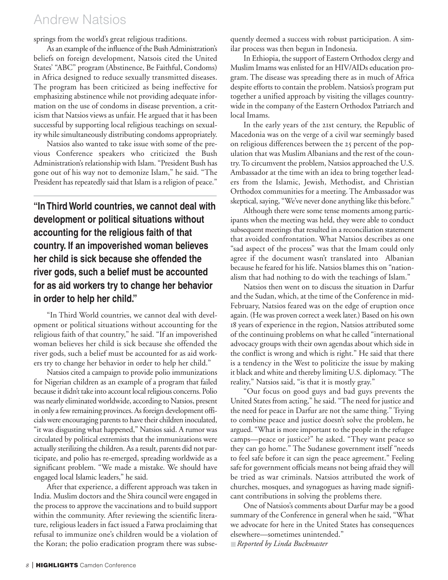## Andrew Natsios

springs from the world's great religious traditions.

As an example of the influence of the Bush Administration's beliefs on foreign development, Natsois cited the United States' "ABC" program (Abstinence, Be Faithful, Condoms) in Africa designed to reduce sexually transmitted diseases. The program has been criticized as being ineffective for emphasizing abstinence while not providing adequate information on the use of condoms in disease prevention, a criticism that Natsios views as unfair. He argued that it has been successful by supporting local religious teachings on sexuality while simultaneously distributing condoms appropriately.

Natsios also wanted to take issue with some of the previous Conference speakers who criticized the Bush Administration's relationship with Islam. "President Bush has gone out of his way not to demonize Islam," he said. "The President has repeatedly said that Islam is a religion of peace."

**"In Third World countries, we cannot deal with development or political situations without accounting for the religious faith of that country. If an impoverished woman believes her child is sick because she offended the river gods, such a belief must be accounted for as aid workers try to change her behavior in order to help her child."**

"In Third World countries, we cannot deal with development or political situations without accounting for the religious faith of that country," he said. "If an impoverished woman believes her child is sick because she offended the river gods, such a belief must be accounted for as aid workers try to change her behavior in order to help her child."

Natsios cited a campaign to provide polio immunizations for Nigerian children as an example of a program that failed because it didn't take into account local religious concerns. Polio was nearly eliminated worldwide, according to Natsios, present in only a few remaining provinces. As foreign development officials were encouraging parents to have their children inoculated, "it was disgusting what happened," Natsios said. A rumor was circulated by political extremists that the immunizations were actually sterilizing the children. As a result, parents did not participate, and polio has re-emerged, spreading worldwide as a significant problem. "We made a mistake. We should have engaged local Islamic leaders," he said.

After that experience, a different approach was taken in India. Muslim doctors and the Shira council were engaged in the process to approve the vaccinations and to build support within the community. After reviewing the scientific literature, religious leaders in fact issued a Fatwa proclaiming that refusal to immunize one's children would be a violation of the Koran; the polio eradication program there was subsequently deemed a success with robust participation. A similar process was then begun in Indonesia.

In Ethiopia, the support of Eastern Orthodox clergy and Muslim Imams was enlisted for an HIV/AIDs education program. The disease was spreading there as in much of Africa despite efforts to contain the problem. Natsios's program put together a unified approach by visiting the villages countrywide in the company of the Eastern Orthodox Patriarch and local Imams.

In the early years of the 21st century, the Republic of Macedonia was on the verge of a civil war seemingly based on religious differences between the 25 percent of the population that was Muslim Albanians and the rest of the country. To circumvent the problem, Natsios approached the U.S. Ambassador at the time with an idea to bring together leaders from the Islamic, Jewish, Methodist, and Christian Orthodox communities for a meeting. The Ambassador was skeptical, saying, "We've never done anything like this before."

Although there were some tense moments among participants when the meeting was held, they were able to conduct subsequent meetings that resulted in a reconciliation statement that avoided confrontation. What Natsios describes as one "sad aspect of the process" was that the Imam could only agree if the document wasn't translated into Albanian because he feared for his life. Natsios blames this on "nationalism that had nothing to do with the teachings of Islam."

Natsios then went on to discuss the situation in Darfur and the Sudan, which, at the time of the Conference in mid-February, Natsios feared was on the edge of eruption once again. (He was proven correct a week later.) Based on his own 18 years of experience in the region, Natsios attributed some of the continuing problems on what he called "international advocacy groups with their own agendas about which side in the conflict is wrong and which is right." He said that there is a tendency in the West to politicize the issue by making it black and white and thereby limiting U.S. diplomacy. "The reality," Natsios said, "is that it is mostly gray."

"Our focus on good guys and bad guys prevents the United States from acting," he said. "The need for justice and the need for peace in Darfur are not the same thing." Trying to combine peace and justice doesn't solve the problem, he argued. "What is more important to the people in the refugee camps—peace or justice?" he asked. "They want peace so they can go home." The Sudanese government itself "needs to feel safe before it can sign the peace agreement." Feeling safe for government officials means not being afraid they will be tried as war criminals. Natsios attributed the work of churches, mosques, and synagogues as having made significant contributions in solving the problems there.

One of Natsios's comments about Darfur may be a good summary of the Conference in general when he said, "What we advocate for here in the United States has consequences elsewhere—sometimes unintended."

■ *Reported by Linda Buckmaster*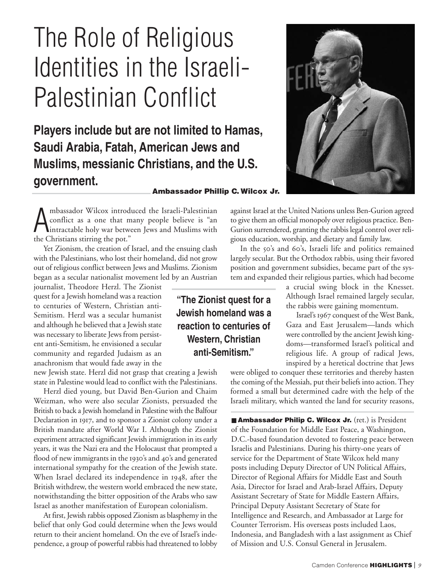# The Role of Religious Identities in the Israeli-Palestinian Conflict

**Players include but are not limited to Hamas, Saudi Arabia, Fatah, American Jews and Muslims, messianic Christians, and the U.S. government.**

#### **Ambassador Phillip C. Wilcox Jr.**

A mbassador Wilcox introdu<br>
conflict as a one that m<br>
the Christians stirring the pot." mbassador Wilcox introduced the Israeli-Palestinian conflict as a one that many people believe is "an intractable holy war between Jews and Muslims with

Yet Zionism, the creation of Israel, and the ensuing clash with the Palestinians, who lost their homeland, did not grow out of religious conflict between Jews and Muslims. Zionism began as a secular nationalist movement led by an Austrian

journalist, Theodore Herzl. The Zionist quest for a Jewish homeland was a reaction to centuries of Western, Christian anti-Semitism. Herzl was a secular humanist and although he believed that a Jewish state was necessary to liberate Jews from persistent anti-Semitism, he envisioned a secular community and regarded Judaism as an anachronism that would fade away in the

new Jewish state. Herzl did not grasp that creating a Jewish state in Palestine would lead to conflict with the Palestinians.

Herzl died young, but David Ben-Gurion and Chaim Weizman, who were also secular Zionists, persuaded the British to back a Jewish homeland in Palestine with the Balfour Declaration in 1917, and to sponsor a Zionist colony under a British mandate after World War I. Although the Zionist experiment attracted significant Jewish immigration in its early years, it was the Nazi era and the Holocaust that prompted a flood of new immigrants in the 1930's and 40's and generated international sympathy for the creation of the Jewish state. When Israel declared its independence in  $1948$ , after the British withdrew, the western world embraced the new state, notwithstanding the bitter opposition of the Arabs who saw Israel as another manifestation of European colonialism.

At first, Jewish rabbis opposed Zionism as blasphemy in the belief that only God could determine when the Jews would return to their ancient homeland. On the eve of Israel's independence, a group of powerful rabbis had threatened to lobby

**"The Zionist quest for a Jewish homeland was a reaction to centuries of Western, Christian anti-Semitism."**



against Israel at the United Nations unless Ben-Gurion agreed to give them an official monopoly over religious practice. Ben-Gurion surrendered, granting the rabbis legal control over religious education, worship, and dietary and family law.

In the 50's and 60's, Israeli life and politics remained largely secular. But the Orthodox rabbis, using their favored position and government subsidies, became part of the system and expanded their religious parties, which had become

> a crucial swing block in the Knesset. Although Israel remained largely secular, the rabbis were gaining momentum.

> Israel's 1967 conquest of the West Bank, Gaza and East Jerusalem—lands which were controlled by the ancient Jewish kingdoms—transformed Israel's political and religious life. A group of radical Jews, inspired by a heretical doctrine that Jews

were obliged to conquer these territories and thereby hasten the coming of the Messiah, put their beliefs into action. They formed a small but determined cadre with the help of the Israeli military, which wanted the land for security reasons,

■ **Ambassador Philip C. Wilcox Jr.** (ret.) is President of the Foundation for Middle East Peace, a Washington, D.C.-based foundation devoted to fostering peace between Israelis and Palestinians. During his thirty-one years of service for the Department of State Wilcox held many posts including Deputy Director of UN Political Affairs, Director of Regional Affairs for Middle East and South Asia, Director for Israel and Arab-Israel Affairs, Deputy Assistant Secretary of State for Middle Eastern Affairs, Principal Deputy Assistant Secretary of State for Intelligence and Research, and Ambassador at Large for Counter Terrorism. His overseas posts included Laos, Indonesia, and Bangladesh with a last assignment as Chief of Mission and U.S. Consul General in Jerusalem.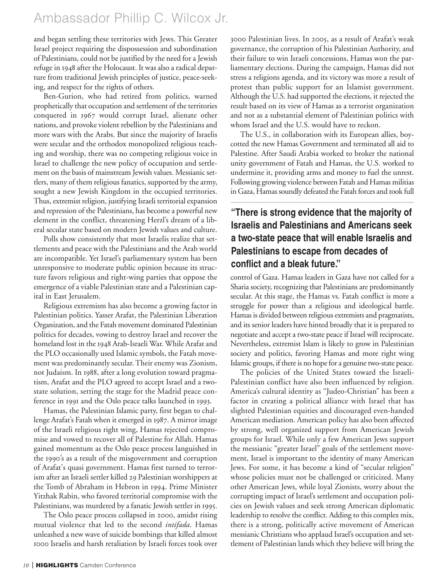## Ambassador Phillip C. Wilcox Jr.

and began settling these territories with Jews. This Greater Israel project requiring the dispossession and subordination of Palestinians, could not be justified by the need for a Jewish refuge in 1948 after the Holocaust. It was also a radical departure from traditional Jewish principles of justice, peace-seeking, and respect for the rights of others.

Ben-Gurion, who had retired from politics, warned prophetically that occupation and settlement of the territories conquered in 1967 would corrupt Israel, alienate other nations, and provoke violent rebellion by the Palestinians and more wars with the Arabs. But since the majority of Israelis were secular and the orthodox monopolized religious teaching and worship, there was no competing religious voice in Israel to challenge the new policy of occupation and settlement on the basis of mainstream Jewish values. Messianic settlers, many of them religious fanatics, supported by the army, sought a new Jewish Kingdom in the occupied territories. Thus, extremist religion, justifying Israeli territorial expansion and repression of the Palestinians, has become a powerful new element in the conflict, threatening Herzl's dream of a liberal secular state based on modern Jewish values and culture.

Polls show consistently that most Israelis realize that settlements and peace with the Palestinians and the Arab world are incompatible. Yet Israel's parliamentary system has been unresponsive to moderate public opinion because its structure favors religious and right-wing parties that oppose the emergence of a viable Palestinian state and a Palestinian capital in East Jerusalem.

Religious extremism has also become a growing factor in Palestinian politics. Yasser Arafat, the Palestinian Liberation Organization, and the Fatah movement dominated Palestinian politics for decades, vowing to destroy Israel and recover the homeland lost in the 1948 Arab-Israeli War. While Arafat and the PLO occasionally used Islamic symbols, the Fatah movement was predominantly secular. Their enemy was Zionism, not Judaism. In 1988, after a long evolution toward pragmatism, Arafat and the PLO agreed to accept Israel and a twostate solution, setting the stage for the Madrid peace conference in 1991 and the Oslo peace talks launched in 1993.

Hamas, the Palestinian Islamic party, first began to challenge Arafat's Fatah when it emerged in 1987. A mirror image of the Israeli religious right wing, Hamas rejected compromise and vowed to recover all of Palestine for Allah. Hamas gained momentum as the Oslo peace process languished in the 1990's as a result of the misgovernment and corruption of Arafat's quasi government. Hamas first turned to terrorism after an Israeli settler killed 29 Palestinian worshippers at the Tomb of Abraham in Hebron in 1994. Prime Minister Yitzhak Rabin, who favored territorial compromise with the Palestinians, was murdered by a fanatic Jewish settler in 1995.

The Oslo peace process collapsed in 2000, amidst rising mutual violence that led to the second *intifada*. Hamas unleashed a new wave of suicide bombings that killed almost 1000 Israelis and harsh retaliation by Israeli forces took over

3000 Palestinian lives. In 2005, as a result of Arafat's weak governance, the corruption of his Palestinian Authority, and their failure to win Israeli concessions, Hamas won the parliamentary elections. During the campaign, Hamas did not stress a religions agenda, and its victory was more a result of protest than public support for an Islamist government. Although the U.S. had supported the elections, it rejected the result based on its view of Hamas as a terrorist organization and not as a substantial element of Palestinian politics with whom Israel and the U.S. would have to reckon.

The U.S., in collaboration with its European allies, boycotted the new Hamas Government and terminated all aid to Palestine. After Saudi Arabia worked to broker the national unity government of Fatah and Hamas, the U.S. worked to undermine it, providing arms and money to fuel the unrest. Following growing violence between Fatah and Hamas militias in Gaza, Hamas soundly defeated the Fatah forces and took full

### **"There is strong evidence that the majority of Israelis and Palestinians and Americans seek a two-state peace that will enable Israelis and Palestinians to escape from decades of conflict and a bleak future."**

control of Gaza. Hamas leaders in Gaza have not called for a Sharia society, recognizing that Palestinians are predominantly secular. At this stage, the Hamas vs. Fatah conflict is more a struggle for power than a religious and ideological battle. Hamas is divided between religious extremists and pragmatists, and its senior leaders have hinted broadly that it is prepared to negotiate and accept a two-state peace if Israel will reciprocate. Nevertheless, extremist Islam is likely to grow in Palestinian society and politics, favoring Hamas and more right wing Islamic groups, if there is no hope for a genuine two-state peace.

The policies of the United States toward the Israeli-Palestinian conflict have also been influenced by religion. America's cultural identity as "Judeo-Christian" has been a factor in creating a political alliance with Israel that has slighted Palestinian equities and discouraged even-handed American mediation. American policy has also been affected by strong, well organized support from American Jewish groups for Israel. While only a few American Jews support the messianic "greater Israel" goals of the settlement movement, Israel is important to the identity of many American Jews. For some, it has become a kind of "secular religion" whose policies must not be challenged or criticized. Many other American Jews, while loyal Zionists, worry about the corrupting impact of Israel's settlement and occupation policies on Jewish values and seek strong American diplomatic leadership to resolve the conflict. Adding to this complex mix, there is a strong, politically active movement of American messianic Christians who applaud Israel's occupation and settlement of Palestinian lands which they believe will bring the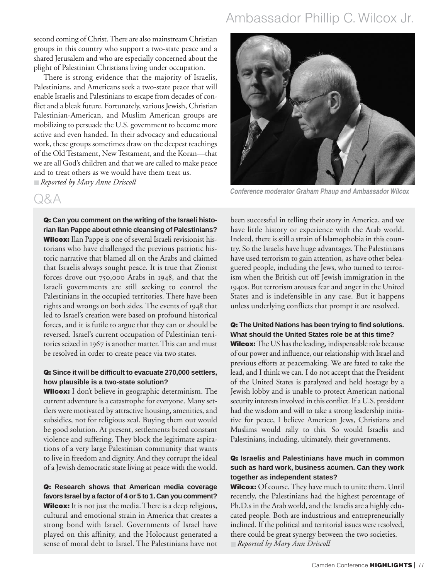## Ambassador Phillip C. Wilcox Jr.

second coming of Christ. There are also mainstream Christian groups in this country who support a two-state peace and a shared Jerusalem and who are especially concerned about the plight of Palestinian Christians living under occupation.

There is strong evidence that the majority of Israelis, Palestinians, and Americans seek a two-state peace that will enable Israelis and Palestinians to escape from decades of conflict and a bleak future. Fortunately, various Jewish, Christian Palestinian-American, and Muslim American groups are mobilizing to persuade the U.S. government to become more active and even handed. In their advocacy and educational work, these groups sometimes draw on the deepest teachings of the Old Testament, New Testament, and the Koran—that we are all God's children and that we are called to make peace and to treat others as we would have them treat us. ■ *Reported by Mary Anne Driscoll*

### Q&A

**Q: Can you comment on the writing of the Israeli historian Ilan Pappe about ethnic cleansing of Palestinians? Wilcox:** Ilan Pappe is one of several Israeli revisionist historians who have challenged the previous patriotic historic narrative that blamed all on the Arabs and claimed that Israelis always sought peace. It is true that Zionist forces drove out  $750,000$  Arabs in 1948, and that the Israeli governments are still seeking to control the Palestinians in the occupied territories. There have been rights and wrongs on both sides. The events of 1948 that led to Israel's creation were based on profound historical forces, and it is futile to argue that they can or should be reversed. Israel's current occupation of Palestinian territories seized in 1967 is another matter. This can and must be resolved in order to create peace via two states.

#### **Q: Since it will be difficult to evacuate 270,000 settlers, how plausible is a two-state solution?**

**Wilcox:** I don't believe in geographic determinism. The current adventure is a catastrophe for everyone. Many settlers were motivated by attractive housing, amenities, and subsidies, not for religious zeal. Buying them out would be good solution. At present, settlements breed constant violence and suffering. They block the legitimate aspirations of a very large Palestinian community that wants to live in freedom and dignity. And they corrupt the ideal of a Jewish democratic state living at peace with the world.

**Q: Research shows that American media coverage favors Israel by a factor of 4 or 5 to 1.Can you comment? Wilcox:** It is not just the media. There is a deep religious, cultural and emotional strain in America that creates a strong bond with Israel. Governments of Israel have played on this affinity, and the Holocaust generated a sense of moral debt to Israel. The Palestinians have not



*Conference moderator Graham Phaup and Ambassador Wilcox*

been successful in telling their story in America, and we have little history or experience with the Arab world. Indeed, there is still a strain of Islamophobia in this country. So the Israelis have huge advantages. The Palestinians have used terrorism to gain attention, as have other beleaguered people, including the Jews, who turned to terrorism when the British cut off Jewish immigration in the 1940s. But terrorism arouses fear and anger in the United States and is indefensible in any case. But it happens unless underlying conflicts that prompt it are resolved.

#### **Q: The United Nations has been trying to find solutions. What should the United States role be at this time?**

**Wilcox:**The US has the leading, indispensable role because of our power and influence, our relationship with Israel and previous efforts at peacemaking. We are fated to take the lead, and I think we can. I do not accept that the President of the United States is paralyzed and held hostage by a Jewish lobby and is unable to protect American national security interests involved in this conflict. If a U.S. president had the wisdom and will to take a strong leadership initiative for peace, I believe American Jews, Christians and Muslims would rally to this. So would Israelis and Palestinians, including, ultimately, their governments.

#### **Q: Israelis and Palestinians have much in common such as hard work, business acumen. Can they work together as independent states?**

**Wilcox:** Of course. They have much to unite them. Until recently, the Palestinians had the highest percentage of Ph.D.s in the Arab world, and the Israelis are a highly educated people. Both are industrious and entrepreneurially inclined. If the political and territorial issues were resolved, there could be great synergy between the two societies. ■ *Reported by Mary Ann Driscoll*

Camden Conference **HIGHLIGHTS** | *<sup>11</sup>*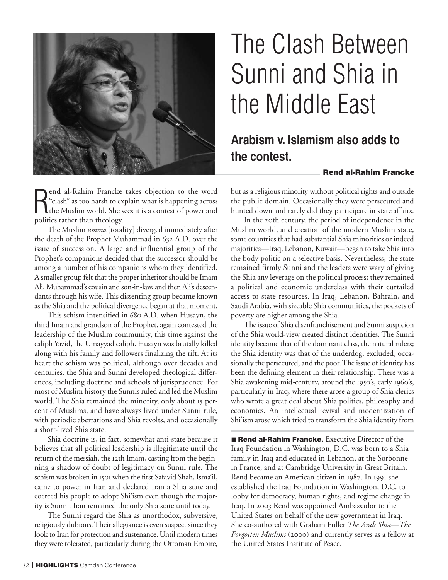

#### R end al-Rahim Francke takes objection to the word "clash" as too harsh to explain what is happening across the Muslim world. She sees it is a contest of power and politics rather than theology.

The Muslim *umma* [totality] diverged immediately after the death of the Prophet Muhammad in 632 A.D. over the issue of succession. A large and influential group of the Prophet's companions decided that the successor should be among a number of his companions whom they identified. A smaller group felt that the proper inheritor should be Imam Ali, Muhammad's cousin and son-in-law, and then Ali's descendants through his wife. This dissenting group became known as the Shia and the political divergence began at that moment.

This schism intensified in 680 A.D. when Husayn, the third Imam and grandson of the Prophet, again contested the leadership of the Muslim community, this time against the caliph Yazid, the Umayyad caliph. Husayn was brutally killed along with his family and followers finalizing the rift. At its heart the schism was political, although over decades and centuries, the Shia and Sunni developed theological differences, including doctrine and schools of jurisprudence. For most of Muslim history the Sunnis ruled and led the Muslim world. The Shia remained the minority, only about 15 percent of Muslims, and have always lived under Sunni rule, with periodic aberrations and Shia revolts, and occasionally a short-lived Shia state.

Shia doctrine is, in fact, somewhat anti-state because it believes that all political leadership is illegitimate until the return of the messiah, the 12th Imam, casting from the beginning a shadow of doubt of legitimacy on Sunni rule. The schism was broken in 1501 when the first Safavid Shah, Isma'il, came to power in Iran and declared Iran a Shia state and coerced his people to adopt Shi'ism even though the majority is Sunni. Iran remained the only Shia state until today.

The Sunni regard the Shia as unorthodox, subversive, religiously dubious. Their allegiance is even suspect since they look to Iran for protection and sustenance. Until modern times they were tolerated, particularly during the Ottoman Empire,

# The Clash Between Sunni and Shia in the Middle East

## **Arabism v. Islamism also adds to the contest.**

#### **Rend al-Rahim Francke**

but as a religious minority without political rights and outside the public domain. Occasionally they were persecuted and hunted down and rarely did they participate in state affairs.

In the 20th century, the period of independence in the Muslim world, and creation of the modern Muslim state, some countries that had substantial Shia minorities or indeed majorities—Iraq, Lebanon, Kuwait—began to take Shia into the body politic on a selective basis. Nevertheless, the state remained firmly Sunni and the leaders were wary of giving the Shia any leverage on the political process; they remained a political and economic underclass with their curtailed access to state resources. In Iraq, Lebanon, Bahrain, and Saudi Arabia, with sizeable Shia communities, the pockets of poverty are higher among the Shia.

The issue of Shia disenfranchisement and Sunni suspicion of the Shia world-view created distinct identities. The Sunni identity became that of the dominant class, the natural rulers; the Shia identity was that of the underdog: excluded, occasionally the persecuted, and the poor. The issue of identity has been the defining element in their relationship. There was a Shia awakening mid-century, around the 1950's, early 1960's, particularly in Iraq, where there arose a group of Shia clerics who wrote a great deal about Shia politics, philosophy and economics. An intellectual revival and modernization of Shi'ism arose which tried to transform the Shia identity from

■ **Rend al-Rahim Francke**, Executive Director of the Iraq Foundation in Washington, D.C. was born to a Shia family in Iraq and educated in Lebanon, at the Sorbonne in France, and at Cambridge University in Great Britain. Rend became an American citizen in 1987. In 1991 she established the Iraq Foundation in Washington, D.C. to lobby for democracy, human rights, and regime change in Iraq. In 2003 Rend was appointed Ambassador to the United States on behalf of the new government in Iraq. She co-authored with Graham Fuller *The Arab Shia—The Forgotten Muslims* (2000) and currently serves as a fellow at the United States Institute of Peace.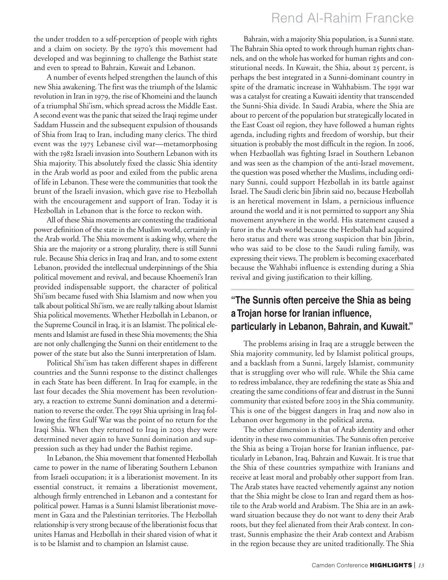### Rend Al-Rahim Francke

the under trodden to a self-perception of people with rights and a claim on society. By the 1970's this movement had developed and was beginning to challenge the Bathist state and even to spread to Bahrain, Kuwait and Lebanon.

A number of events helped strengthen the launch of this new Shia awakening. The first was the triumph of the Islamic revolution in Iran in 1979, the rise of Khomeini and the launch of a triumphal Shi'ism, which spread across the Middle East. A second event was the panic that seized the Iraqi regime under Saddam Hussein and the subsequent expulsion of thousands of Shia from Iraq to Iran, including many clerics. The third event was the 1975 Lebanese civil war—metamorphosing with the 1982 Israeli invasion into Southern Lebanon with its Shia majority. This absolutely fixed the classic Shia identity in the Arab world as poor and exiled from the public arena of life in Lebanon. These were the communities that took the brunt of the Israeli invasion, which gave rise to Hezbollah with the encouragement and support of Iran. Today it is Hezbollah in Lebanon that is the force to reckon with.

All of these Shia movements are contesting the traditional power definition of the state in the Muslim world, certainly in the Arab world. The Shia movement is asking why, where the Shia are the majority or a strong plurality, there is still Sunni rule. Because Shia clerics in Iraq and Iran, and to some extent Lebanon, provided the intellectual underpinnings of the Shia political movement and revival, and because Khoemeni's Iran provided indispensable support, the character of political Shi'ism became fused with Shia Islamism and now when you talk about political Shi'ism, we are really talking about Islamist Shia political movements. Whether Hezbollah in Lebanon, or the Supreme Council in Iraq, it is an Islamist. The political elements and Islamist are fused in these Shia movements; the Shia are not only challenging the Sunni on their entitlement to the power of the state but also the Sunni interpretation of Islam.

Political Shi'ism has taken different shapes in different countries and the Sunni response to the distinct challenges in each State has been different. In Iraq for example, in the last four decades the Shia movement has been revolutionary, a reaction to extreme Sunni domination and a determination to reverse the order. The 1991 Shia uprising in Iraq following the first Gulf War was the point of no return for the Iraqi Shia. When they returned to Iraq in 2003 they were determined never again to have Sunni domination and suppression such as they had under the Bathist regime.

In Lebanon, the Shia movement that fomented Hezbollah came to power in the name of liberating Southern Lebanon from Israeli occupation; it is a liberationist movement. In its essential construct, it remains a liberationist movement, although firmly entrenched in Lebanon and a contestant for political power. Hamas is a Sunni Islamist liberationist movement in Gaza and the Palestinian territories. The Hezbollah relationship is very strong because of the liberationist focus that unites Hamas and Hezbollah in their shared vision of what it is to be Islamist and to champion an Islamist cause.

Bahrain, with a majority Shia population, is a Sunni state. The Bahrain Shia opted to work through human rights channels, and on the whole has worked for human rights and constitutional needs. In Kuwait, the Shia, about 25 percent, is perhaps the best integrated in a Sunni-dominant country in spite of the dramatic increase in Wahhabism. The 1991 war was a catalyst for creating a Kuwaiti identity that transcended the Sunni-Shia divide. In Saudi Arabia, where the Shia are about to percent of the population but strategically located in the East Coast oil region, they have followed a human rights agenda, including rights and freedom of worship, but their situation is probably the most difficult in the region. In 2006, when Hezbaollah was fighting Israel in Southern Lebanon and was seen as the champion of the anti-Israel movement, the question was posed whether the Muslims, including ordinary Sunni, could support Hezbollah in its battle against Israel. The Saudi cleric bin Jibrin said no, because Hezbollah is an heretical movement in Islam, a pernicious influence around the world and it is not permitted to support any Shia movement anywhere in the world. His statement caused a furor in the Arab world because the Hezbollah had acquired hero status and there was strong suspicion that bin Jibrin, who was said to be close to the Saudi ruling family, was expressing their views. The problem is becoming exacerbated because the Wahhabi influence is extending during a Shia revival and giving justification to their killing.

### **"The Sunnis often perceive the Shia as being a Trojan horse for Iranian influence, particularly in Lebanon, Bahrain, and Kuwait."**

The problems arising in Iraq are a struggle between the Shia majority community, led by Islamist political groups, and a backlash from a Sunni, largely Islamist, community that is struggling over who will rule. While the Shia came to redress imbalance, they are redefining the state as Shia and creating the same conditions of fear and distrust in the Sunni community that existed before 2003 in the Shia community. This is one of the biggest dangers in Iraq and now also in Lebanon over hegemony in the political arena.

The other dimension is that of Arab identity and other identity in these two communities. The Sunnis often perceive the Shia as being a Trojan horse for Iranian influence, particularly in Lebanon, Iraq, Bahrain and Kuwait. It is true that the Shia of these countries sympathize with Iranians and receive at least moral and probably other support from Iran. The Arab states have reacted vehemently against any notion that the Shia might be close to Iran and regard them as hostile to the Arab world and Arabism. The Shia are in an awkward situation because they do not want to deny their Arab roots, but they feel alienated from their Arab context. In contrast, Sunnis emphasize the their Arab context and Arabism in the region because they are united traditionally. The Shia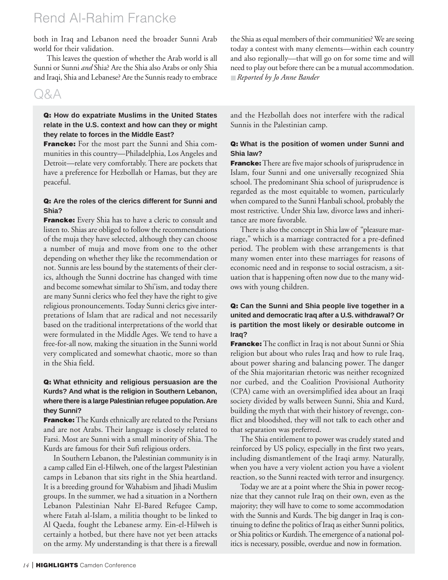## Rend Al-Rahim Francke

both in Iraq and Lebanon need the broader Sunni Arab world for their validation.

This leaves the question of whether the Arab world is all Sunni or Sunni *and* Shia? Are the Shia also Arabs or only Shia and Iraqi, Shia and Lebanese? Are the Sunnis ready to embrace

### Q&A

#### **Q: How do expatriate Muslims in the United States relate in the U.S. context and how can they or might they relate to forces in the Middle East?**

**Francke:** For the most part the Sunni and Shia communities in this country—Philadelphia, Los Angeles and Detroit—relate very comfortably. There are pockets that have a preference for Hezbollah or Hamas, but they are peaceful.

#### **Q: Are the roles of the clerics different for Sunni and Shia?**

**Francke:** Every Shia has to have a cleric to consult and listen to. Shias are obliged to follow the recommendations of the muja they have selected, although they can choose a number of muja and move from one to the other depending on whether they like the recommendation or not. Sunnis are less bound by the statements of their clerics, although the Sunni doctrine has changed with time and become somewhat similar to Shi'ism, and today there are many Sunni clerics who feel they have the right to give religious pronouncements. Today Sunni clerics give interpretations of Islam that are radical and not necessarily based on the traditional interpretations of the world that were formulated in the Middle Ages. We tend to have a free-for-all now, making the situation in the Sunni world very complicated and somewhat chaotic, more so than in the Shia field.

#### **Q: What ethnicity and religious persuasion are the Kurds? And what is the religion in Southern Lebanon, where there is a large Palestinian refugee population.Are they Sunni?**

**Francke:**The Kurds ethnically are related to the Persians and are not Arabs. Their language is closely related to Farsi. Most are Sunni with a small minority of Shia. The Kurds are famous for their Sufi religious orders.

In Southern Lebanon, the Palestinian community is in a camp called Ein el-Hilweh, one of the largest Palestinian camps in Lebanon that sits right in the Shia heartland. It is a breeding ground for Wahabism and Jihadi Muslim groups. In the summer, we had a situation in a Northern Lebanon Palestinian Nahr El-Bared Refugee Camp, where Fatah al-Islam, a militia thought to be linked to Al Qaeda, fought the Lebanese army. Ein-el-Hilweh is certainly a hotbed, but there have not yet been attacks on the army. My understanding is that there is a firewall the Shia as equal members of their communities? We are seeing today a contest with many elements—within each country and also regionally—that will go on for some time and will need to play out before there can be a mutual accommodation. ■ *Reported by Jo Anne Bander*

and the Hezbollah does not interfere with the radical Sunnis in the Palestinian camp.

#### **Q: What is the position of women under Sunni and Shia law?**

**Francke:**There are five major schools of jurisprudence in Islam, four Sunni and one universally recognized Shia school. The predominant Shia school of jurisprudence is regarded as the most equitable to women, particularly when compared to the Sunni Hanbali school, probably the most restrictive. Under Shia law, divorce laws and inheritance are more favorable.

There is also the concept in Shia law of "pleasure marriage," which is a marriage contracted for a pre-defined period. The problem with these arrangements is that many women enter into these marriages for reasons of economic need and in response to social ostracism, a situation that is happening often now due to the many widows with young children.

#### **Q: Can the Sunni and Shia people live together in a united and democratic Iraq after a U.S. withdrawal? Or is partition the most likely or desirable outcome in Iraq?**

**Francke:**The conflict in Iraq is not about Sunni or Shia religion but about who rules Iraq and how to rule Iraq, about power sharing and balancing power. The danger of the Shia majoritarian rhetoric was neither recognized nor curbed, and the Coalition Provisional Authority (CPA) came with an oversimplified idea about an Iraqi society divided by walls between Sunni, Shia and Kurd, building the myth that with their history of revenge, conflict and bloodshed, they will not talk to each other and that separation was preferred.

The Shia entitlement to power was crudely stated and reinforced by US policy, especially in the first two years, including dismantlement of the Iraqi army. Naturally, when you have a very violent action you have a violent reaction, so the Sunni reacted with terror and insurgency.

Today we are at a point where the Shia in power recognize that they cannot rule Iraq on their own, even as the majority; they will have to come to some accommodation with the Sunnis and Kurds. The big danger in Iraq is continuing to define the politics of Iraq as either Sunni politics, or Shia politics or Kurdish. The emergence of a national politics is necessary, possible, overdue and now in formation.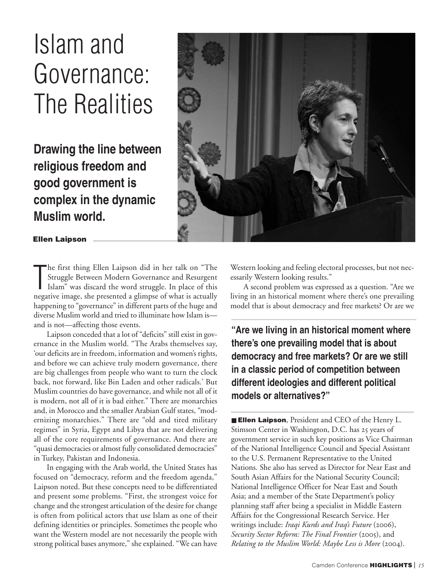# Islam and Governance: The Realities

**Drawing the line between religious freedom and good government is complex in the dynamic Muslim world.**



**Ellen Laipson**

The first thing Ellen Laipson did in her talk on "The Struggle Between Modern Governance and Resurgent Islam" was discard the word struggle. In place of this negative image, she presented a glimpse of what is actually he first thing Ellen Laipson did in her talk on "The Struggle Between Modern Governance and Resurgent Islam" was discard the word struggle. In place of this happening to "governance" in different parts of the huge and diverse Muslim world and tried to illuminate how Islam is and is not—affecting those events.

Laipson conceded that a lot of "deficits" still exist in governance in the Muslim world. "The Arabs themselves say, 'our deficits are in freedom, information and women's rights, and before we can achieve truly modern governance, there are big challenges from people who want to turn the clock back, not forward, like Bin Laden and other radicals.' But Muslim countries do have governance, and while not all of it is modern, not all of it is bad either." There are monarchies and, in Morocco and the smaller Arabian Gulf states, "modernizing monarchies." There are "old and tired military regimes" in Syria, Egypt and Libya that are not delivering all of the core requirements of governance. And there are "quasi democracies or almost fully consolidated democracies" in Turkey, Pakistan and Indonesia.

In engaging with the Arab world, the United States has focused on "democracy, reform and the freedom agenda," Laipson noted. But these concepts need to be differentiated and present some problems. "First, the strongest voice for change and the strongest articulation of the desire for change is often from political actors that use Islam as one of their defining identities or principles. Sometimes the people who want the Western model are not necessarily the people with strong political bases anymore," she explained. "We can have

Western looking and feeling electoral processes, but not necessarily Western looking results."

A second problem was expressed as a question. "Are we living in an historical moment where there's one prevailing model that is about democracy and free markets? Or are we

**"Are we living in an historical moment where there's one prevailing model that is about democracy and free markets? Or are we still in a classic period of competition between different ideologies and different political models or alternatives?"**

■ **Ellen Laipson**, President and CEO of the Henry L. Stimson Center in Washington, D.C. has 25 years of government service in such key positions as Vice Chairman of the National Intelligence Council and Special Assistant to the U.S. Permanent Representative to the United Nations. She also has served as Director for Near East and South Asian Affairs for the National Security Council; National Intelligence Officer for Near East and South Asia; and a member of the State Department's policy planning staff after being a specialist in Middle Eastern Affairs for the Congressional Research Service. Her writings include: *Iraqi Kurds and Iraq's Future* (2006), *Security Sector Reform: The Final Frontier* (2005), and *Relating to the Muslim World: Maybe Less is More* (2004).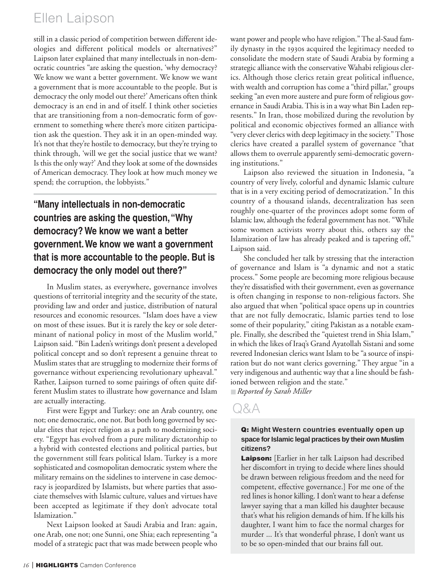## Ellen Laipson

still in a classic period of competition between different ideologies and different political models or alternatives?" Laipson later explained that many intellectuals in non-democratic countries "are asking the question, 'why democracy? We know we want a better government. We know we want a government that is more accountable to the people. But is democracy the only model out there?' Americans often think democracy is an end in and of itself. I think other societies that are transitioning from a non-democratic form of government to something where there's more citizen participation ask the question. They ask it in an open-minded way. It's not that they're hostile to democracy, but they're trying to think through, 'will we get the social justice that we want? Is this the only way?' And they look at some of the downsides of American democracy. They look at how much money we spend; the corruption, the lobbyists."

### **"Many intellectuals in non-democratic countries are asking the question,"Why democracy? We know we want a better government.We know we want a government that is more accountable to the people. But is democracy the only model out there?"**

In Muslim states, as everywhere, governance involves questions of territorial integrity and the security of the state, providing law and order and justice, distribution of natural resources and economic resources. "Islam does have a view on most of these issues. But it is rarely the key or sole determinant of national policy in most of the Muslim world," Laipson said. "Bin Laden's writings don't present a developed political concept and so don't represent a genuine threat to Muslim states that are struggling to modernize their forms of governance without experiencing revolutionary upheaval." Rather, Laipson turned to some pairings of often quite different Muslim states to illustrate how governance and Islam are actually interacting.

First were Egypt and Turkey: one an Arab country, one not; one democratic, one not. But both long governed by secular elites that reject religion as a path to modernizing society. "Egypt has evolved from a pure military dictatorship to a hybrid with contested elections and political parties, but the government still fears political Islam. Turkey is a more sophisticated and cosmopolitan democratic system where the military remains on the sidelines to intervene in case democracy is jeopardized by Islamists, but where parties that associate themselves with Islamic culture, values and virtues have been accepted as legitimate if they don't advocate total Islamization."

Next Laipson looked at Saudi Arabia and Iran: again, one Arab, one not; one Sunni, one Shia; each representing "a model of a strategic pact that was made between people who want power and people who have religion." The al-Saud family dynasty in the 1930s acquired the legitimacy needed to consolidate the modern state of Saudi Arabia by forming a strategic alliance with the conservative Wahabi religious clerics. Although those clerics retain great political influence, with wealth and corruption has come a "third pillar," groups seeking "an even more austere and pure form of religious governance in Saudi Arabia. This is in a way what Bin Laden represents." In Iran, those mobilized during the revolution by political and economic objectives formed an alliance with "very clever clerics with deep legitimacy in the society." Those clerics have created a parallel system of governance "that allows them to overrule apparently semi-democratic governing institutions."

Laipson also reviewed the situation in Indonesia, "a country of very lively, colorful and dynamic Islamic culture that is in a very exciting period of democratization." In this country of a thousand islands, decentralization has seen roughly one-quarter of the provinces adopt some form of Islamic law, although the federal government has not. "While some women activists worry about this, others say the Islamization of law has already peaked and is tapering off," Laipson said.

She concluded her talk by stressing that the interaction of governance and Islam is "a dynamic and not a static process." Some people are becoming more religious because they're dissatisfied with their government, even as governance is often changing in response to non-religious factors. She also argued that when "political space opens up in countries that are not fully democratic, Islamic parties tend to lose some of their popularity," citing Pakistan as a notable example. Finally, she described the "quietest trend in Shia Islam," in which the likes of Iraq's Grand Ayatollah Sistani and some revered Indonesian clerics want Islam to be "a source of inspiration but do not want clerics governing." They argue "in a very indigenous and authentic way that a line should be fashioned between religion and the state."

■ *Reported by Sarah Miller*

### Q&A

#### **Q: Might Western countries eventually open up space for Islamic legal practices by their own Muslim citizens?**

**Laipson:** [Earlier in her talk Laipson had described her discomfort in trying to decide where lines should be drawn between religious freedom and the need for competent, effective governance.] For me one of the red lines is honor killing. I don't want to hear a defense lawyer saying that a man killed his daughter because that's what his religion demands of him. If he kills his daughter, I want him to face the normal charges for murder ... It's that wonderful phrase, I don't want us to be so open-minded that our brains fall out.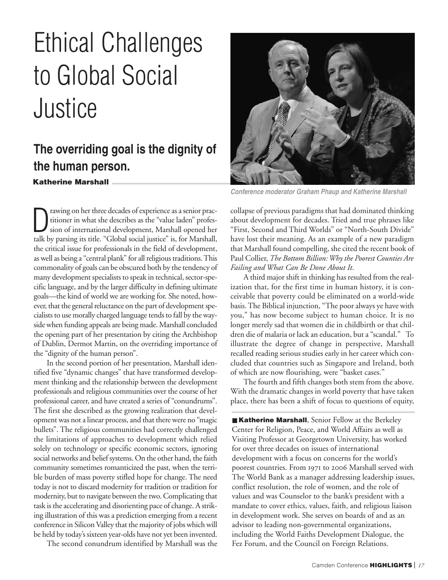# Ethical Challenges to Global Social Justice

## **Katherine Marshall The overriding goal is the dignity of the human person.**

Trawing on her three decades of experience as a senior practitioner in what she describes as the "value laden" profession of international development, Marshall opened her talk by parsing its title. "Global social justice" rawing on her three decades of experience as a senior practitioner in what she describes as the "value laden" profession of international development, Marshall opened her the critical issue for professionals in the field of development, as well as being a "central plank" for all religious traditions. This commonality of goals can be obscured both by the tendency of many development specialists to speak in technical, sector-specific language, and by the larger difficulty in defining ultimate goals—the kind of world we are working for. She noted, however, that the general reluctance on the part of development specialists to use morally charged language tends to fall by the wayside when funding appeals are being made. Marshall concluded the opening part of her presentation by citing the Archbishop of Dublin, Dermot Martin, on the overriding importance of the "dignity of the human person".

In the second portion of her presentation, Marshall identified five "dynamic changes" that have transformed development thinking and the relationship between the development professionals and religious communities over the course of her professional career, and have created a series of "conundrums". The first she described as the growing realization that development was not a linear process, and that there were no "magic bullets". The religious communities had correctly challenged the limitations of approaches to development which relied solely on technology or specific economic sectors, ignoring social networks and belief systems. On the other hand, the faith community sometimes romanticized the past, when the terrible burden of mass poverty stifled hope for change. The need today is not to discard modernity for tradition or tradition for modernity, but to navigate between the two. Complicating that task is the accelerating and disorienting pace of change. A striking illustration of this was a prediction emerging from a recent conference in Silicon Valley that the majority of jobs which will be held by today's sixteen year-olds have not yet been invented.

The second conundrum identified by Marshall was the



*Conference moderator Graham Phaup and Katherine Marshall*

collapse of previous paradigms that had dominated thinking about development for decades. Tried and true phrases like "First, Second and Third Worlds" or "North-South Divide" have lost their meaning. As an example of a new paradigm that Marshall found compelling, she cited the recent book of Paul Collier, *The Bottom Billion: Why the Poorest Counties Are Failing and What Can Be Done About It*.

A third major shift in thinking has resulted from the realization that, for the first time in human history, it is conceivable that poverty could be eliminated on a world-wide basis. The Biblical injunction, "The poor always ye have with you," has now become subject to human choice. It is no longer merely sad that women die in childbirth or that children die of malaria or lack an education, but a "scandal." To illustrate the degree of change in perspective, Marshall recalled reading serious studies early in her career which concluded that countries such as Singapore and Ireland, both of which are now flourishing, were "basket cases."

The fourth and fifth changes both stem from the above. With the dramatic changes in world poverty that have taken place, there has been a shift of focus to questions of equity,

■ Katherine Marshall, Senior Fellow at the Berkeley Center for Religion, Peace, and World Affairs as well as Visiting Professor at Georgetown University, has worked for over three decades on issues of international development with a focus on concerns for the world's poorest countries. From 1971 to 2006 Marshall served with The World Bank as a manager addressing leadership issues, conflict resolution, the role of women, and the role of values and was Counselor to the bank's president with a mandate to cover ethics, values, faith, and religious liaison in development work. She serves on boards of and as an advisor to leading non-governmental organizations, including the World Faiths Development Dialogue, the Fez Forum, and the Council on Foreign Relations.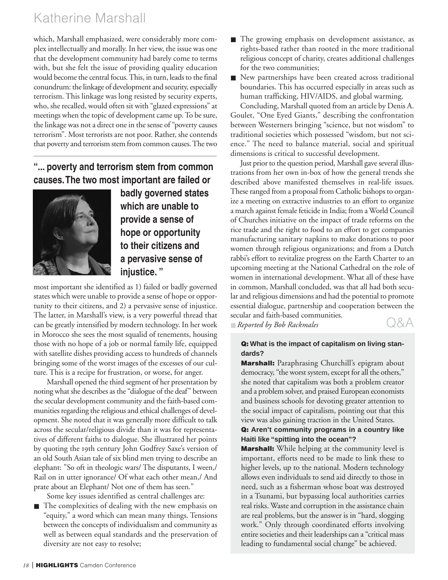## Katherine Marshall

which, Marshall emphasized, were considerably more complex intellectually and morally. In her view, the issue was one that the development community had barely come to terms with, but she felt the issue of providing quality education would become the central focus. This, in turn, leads to the final conundrum: the linkage of development and security, especially terrorism. This linkage was long resisted by security experts, who, she recalled, would often sit with "glazed expressions" at meetings when the topic of development came up. To be sure, the linkage was not a direct one in the sense of "poverty causes terrorism". Most terrorists are not poor. Rather, she contends that poverty and terrorism stem from common causes. The two

### **"... poverty and terrorism stem from common causes.The two most important are failed or**



**badly governed states which are unable to provide a sense of hope or opportunity to their citizens and a pervasive sense of injustice. "**

most important she identified as 1) failed or badly governed states which were unable to provide a sense of hope or opportunity to their citizens, and 2) a pervasive sense of injustice. The latter, in Marshall's view, is a very powerful thread that can be greatly intensified by modern technology. In her work in Morocco she sees the most squalid of tenements, housing those with no hope of a job or normal family life, equipped with satellite dishes providing access to hundreds of channels bringing some of the worst images of the excesses of our culture. This is a recipe for frustration, or worse, for anger.

Marshall opened the third segment of her presentation by noting what she describes as the "dialogue of the deaf" between the secular development community and the faith-based communities regarding the religious and ethical challenges of development. She noted that it was generally more difficult to talk across the secular/religious divide than it was for representatives of different faiths to dialogue. She illustrated her points by quoting the 19th century John Godfrey Saxe's version of an old South Asian tale of six blind men trying to describe an elephant: "So oft in theologic wars/ The disputants, I ween,/ Rail on in utter ignorance/ Of what each other mean,/ And prate about an Elephant/ Not one of them has seen."

- Some key issues identified as central challenges are:
- The complexities of dealing with the new emphasis on "equity," a word which can mean many things. Tensions between the concepts of individualism and community as well as between equal standards and the preservation of diversity are not easy to resolve;
- The growing emphasis on development assistance, as rights-based rather than rooted in the more traditional religious concept of charity, creates additional challenges for the two communities;
- New partnerships have been created across traditional boundaries. This has occurred especially in areas such as human trafficking, HIV/AIDS, and global warming.

Concluding, Marshall quoted from an article by Denis A. Goulet, "One Eyed Giants," describing the confrontation between Westerners bringing "science, but not wisdom" to traditional societies which possessed "wisdom, but not science." The need to balance material, social and spiritual dimensions is critical to successful development.

Just prior to the question period, Marshall gave several illustrations from her own in-box of how the general trends she described above manifested themselves in real-life issues. These ranged from a proposal from Catholic bishops to organize a meeting on extractive industries to an effort to organize a march against female feticide in India; from a World Council of Churches initiative on the impact of trade reforms on the rice trade and the right to food to an effort to get companies manufacturing sanitary napkins to make donations to poor women through religious organizations; and from a Dutch rabbi's effort to revitalize progress on the Earth Charter to an upcoming meeting at the National Cathedral on the role of women in international development. What all of these have in common, Marshall concluded, was that all had both secular and religious dimensions and had the potential to promote essential dialogue, partnership and cooperation between the secular and faith-based communities.

■ *Reported by Bob Rackmales*

### Q&A

#### **Q: What is the impact of capitalism on living standards?**

**Marshall:** Paraphrasing Churchill's epigram about democracy, "the worst system, except for all the others," she noted that capitalism was both a problem creator and a problem solver, and praised European economists and business schools for devoting greater attention to the social impact of capitalism, pointing out that this view was also gaining traction in the United States.

#### **Q: Aren't community programs in a country like Haiti like "spitting into the ocean"?**

**Marshall:** While helping at the community level is important, efforts need to be made to link these to higher levels, up to the national. Modern technology allows even individuals to send aid directly to those in need, such as a fisherman whose boat was destroyed in a Tsunami, but bypassing local authorities carries real risks. Waste and corruption in the assistance chain are real problems, but the answer is in "hard, slogging work." Only through coordinated efforts involving entire societies and their leaderships can a "critical mass leading to fundamental social change" be achieved.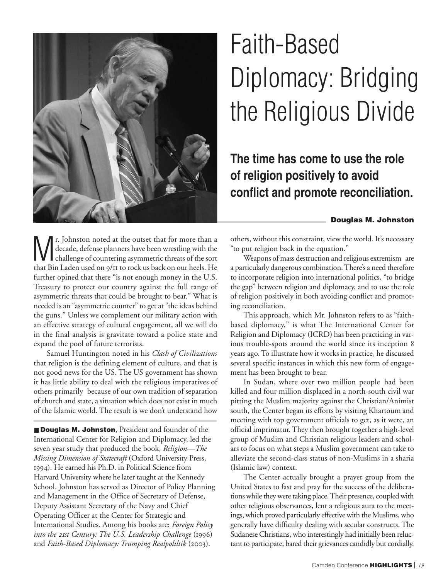

# Faith-Based Diplomacy: Bridging the Religious Divide

## **The time has come to use the role of religion positively to avoid conflict and promote reconciliation.**

#### **Douglas M. Johnston**

If I Johnston noted at the outset that for more than a<br>decade, defense planners have been wrestling with the<br>challenge of countering asymmetric threats of the sort<br>that Bin I of waves an also perhaps had an aux hade. He decade, defense planners have been wrestling with the that Bin Laden used on 9/11 to rock us back on our heels. He further opined that there "is not enough money in the U.S. Treasury to protect our country against the full range of asymmetric threats that could be brought to bear." What is needed is an "asymmetric counter" to get at "the ideas behind the guns." Unless we complement our military action with an effective strategy of cultural engagement, all we will do in the final analysis is gravitate toward a police state and expand the pool of future terrorists.

Samuel Huntington noted in his *Clash of Civilizations* that religion is the defining element of culture, and that is not good news for the US. The US government has shown it has little ability to deal with the religious imperatives of others primarily because of our own tradition of separation of church and state, a situation which does not exist in much of the Islamic world. The result is we don't understand how

■ **Douglas M. Johnston**, President and founder of the International Center for Religion and Diplomacy, led the seven year study that produced the book, *Religion—The Missing Dimension of Statecraft* (Oxford University Press, ). He earned his Ph.D. in Political Science from Harvard University where he later taught at the Kennedy School. Johnston has served as Director of Policy Planning and Management in the Office of Secretary of Defense, Deputy Assistant Secretary of the Navy and Chief Operating Officer at the Center for Strategic and International Studies. Among his books are: *Foreign Policy into the 21st Century: The U.S. Leadership Challenge* (1996) and *Faith-Based Diplomacy: Trumping Realpoliltik* (2003).

others, without this constraint, view the world. It's necessary "to put religion back in the equation."

Weapons of mass destruction and religious extremism are a particularly dangerous combination. There's a need therefore to incorporate religion into international politics, "to bridge the gap" between religion and diplomacy, and to use the role of religion positively in both avoiding conflict and promoting reconciliation.

This approach, which Mr. Johnston refers to as "faithbased diplomacy," is what The International Center for Religion and Diplomacy (ICRD) has been practicing in various trouble-spots around the world since its inception 8 years ago. To illustrate how it works in practice, he discussed several specific instances in which this new form of engagement has been brought to bear.

In Sudan, where over two million people had been killed and four million displaced in a north-south civil war pitting the Muslim majority against the Christian/Animist south, the Center began its efforts by visiting Khartoum and meeting with top government officials to get, as it were, an official imprimatur. They then brought together a high-level group of Muslim and Christian religious leaders and scholars to focus on what steps a Muslim government can take to alleviate the second-class status of non-Muslims in a sharia (Islamic law) context.

The Center actually brought a prayer group from the United States to fast and pray for the success of the deliberations while they were taking place. Their presence, coupled with other religious observances, lent a religious aura to the meetings, which proved particularly effective with the Muslims, who generally have difficulty dealing with secular constructs. The Sudanese Christians, who interestingly had initially been reluctant to participate, bared their grievances candidly but cordially.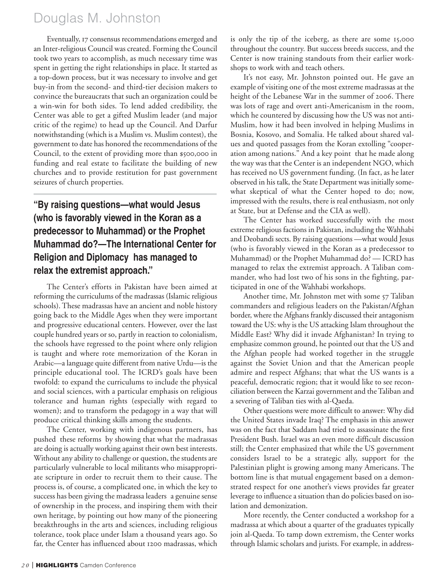## Douglas M. Johnston

Eventually, 17 consensus recommendations emerged and an Inter-religious Council was created. Forming the Council took two years to accomplish, as much necessary time was spent in getting the right relationships in place. It started as a top-down process, but it was necessary to involve and get buy-in from the second- and third-tier decision makers to convince the bureaucrats that such an organization could be a win-win for both sides. To lend added credibility, the Center was able to get a gifted Muslim leader (and major critic of the regime) to head up the Council. And Darfur notwithstanding (which is a Muslim vs. Muslim contest), the government to date has honored the recommendations of the Council, to the extent of providing more than \$500,000 in funding and real estate to facilitate the building of new churches and to provide restitution for past government seizures of church properties.

### **"By raising questions—what would Jesus (who is favorably viewed in the Koran as a predecessor to Muhammad) or the Prophet Muhammad do?—The International Center for Religion and Diplomacy has managed to relax the extremist approach."**

The Center's efforts in Pakistan have been aimed at reforming the curriculums of the madrassas (Islamic religious schools). These madrassas have an ancient and noble history going back to the Middle Ages when they were important and progressive educational centers. However, over the last couple hundred years or so, partly in reaction to colonialism, the schools have regressed to the point where only religion is taught and where rote memorization of the Koran in Arabic—a language quite different from native Urdu—is the principle educational tool. The ICRD's goals have been twofold: to expand the curriculums to include the physical and social sciences, with a particular emphasis on religious tolerance and human rights (especially with regard to women); and to transform the pedagogy in a way that will produce critical thinking skills among the students.

The Center, working with indigenous partners, has pushed these reforms by showing that what the madrassas are doing is actually working against their own best interests. Without any ability to challenge or question, the students are particularly vulnerable to local militants who misappropriate scripture in order to recruit them to their cause. The process is, of course, a complicated one, in which the key to success has been giving the madrassa leaders a genuine sense of ownership in the process, and inspiring them with their own heritage, by pointing out how many of the pioneering breakthroughs in the arts and sciences, including religious tolerance, took place under Islam a thousand years ago. So far, the Center has influenced about 1200 madrassas, which

is only the tip of the iceberg, as there are some 15,000 throughout the country. But success breeds success, and the Center is now training standouts from their earlier workshops to work with and teach others.

It's not easy, Mr. Johnston pointed out. He gave an example of visiting one of the most extreme madrassas at the height of the Lebanese War in the summer of 2006. There was lots of rage and overt anti-Americanism in the room, which he countered by discussing how the US was not anti-Muslim, how it had been involved in helping Muslims in Bosnia, Kosovo, and Somalia. He talked about shared values and quoted passages from the Koran extolling "cooperation among nations." And a key point that he made along the way was that the Center is an independent NGO, which has received no US government funding. (In fact, as he later observed in his talk, the State Department was initially somewhat skeptical of what the Center hoped to do; now, impressed with the results, there is real enthusiasm, not only at State, but at Defense and the CIA as well).

The Center has worked successfully with the most extreme religious factions in Pakistan, including the Wahhabi and Deobandi sects. By raising questions —what would Jesus (who is favorably viewed in the Koran as a predecessor to Muhammad) or the Prophet Muhammad do? — ICRD has managed to relax the extremist approach. A Taliban commander, who had lost two of his sons in the fighting, participated in one of the Wahhabi workshops.

Another time, Mr. Johnston met with some 57 Taliban commanders and religious leaders on the Pakistan/Afghan border, where the Afghans frankly discussed their antagonism toward the US: why is the US attacking Islam throughout the Middle East? Why did it invade Afghanistan? In trying to emphasize common ground, he pointed out that the US and the Afghan people had worked together in the struggle against the Soviet Union and that the American people admire and respect Afghans; that what the US wants is a peaceful, democratic region; that it would like to see reconciliation between the Karzai government and the Taliban and a severing of Taliban ties with al-Qaeda.

Other questions were more difficult to answer: Why did the United States invade Iraq? The emphasis in this answer was on the fact that Saddam had tried to assassinate the first President Bush. Israel was an even more difficult discussion still; the Center emphasized that while the US government considers Israel to be a strategic ally, support for the Palestinian plight is growing among many Americans. The bottom line is that mutual engagement based on a demonstrated respect for one another's views provides far greater leverage to influence a situation than do policies based on isolation and demonization.

More recently, the Center conducted a workshop for a madrassa at which about a quarter of the graduates typically join al-Qaeda. To tamp down extremism, the Center works through Islamic scholars and jurists. For example, in address-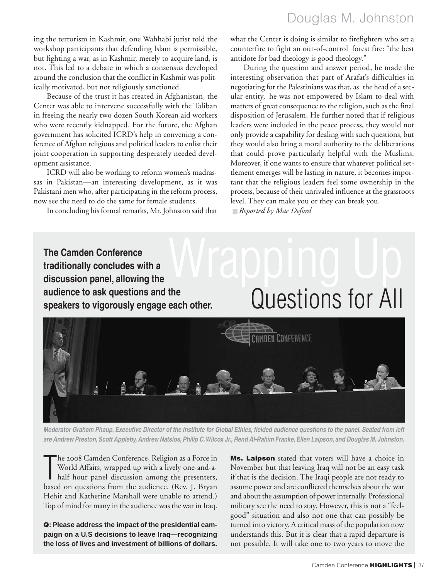## Douglas M. Johnston

ing the terrorism in Kashmir, one Wahhabi jurist told the workshop participants that defending Islam is permissible, but fighting a war, as in Kashmir, merely to acquire land, is not. This led to a debate in which a consensus developed around the conclusion that the conflict in Kashmir was politically motivated, but not religiously sanctioned.

Because of the trust it has created in Afghanistan, the Center was able to intervene successfully with the Taliban in freeing the nearly two dozen South Korean aid workers who were recently kidnapped. For the future, the Afghan government has solicited ICRD's help in convening a conference of Afghan religious and political leaders to enlist their joint cooperation in supporting desperately needed development assistance.

ICRD will also be working to reform women's madrassas in Pakistan—an interesting development, as it was Pakistani men who, after participating in the reform process, now see the need to do the same for female students.

In concluding his formal remarks, Mr. Johnston said that

what the Center is doing is similar to firefighters who set a counterfire to fight an out-of-control forest fire: "the best antidote for bad theology is good theology."

During the question and answer period, he made the interesting observation that part of Arafat's difficulties in negotiating for the Palestinians was that, as the head of a secular entity, he was not empowered by Islam to deal with matters of great consequence to the religion, such as the final disposition of Jerusalem. He further noted that if religious leaders were included in the peace process, they would not only provide a capability for dealing with such questions, but they would also bring a moral authority to the deliberations that could prove particularly helpful with the Muslims. Moreover, if one wants to ensure that whatever political settlement emerges will be lasting in nature, it becomes important that the religious leaders feel some ownership in the process, because of their unrivaled influence at the grassroots level. They can make you or they can break you.

Questions for All

■ *Reported by Mac Deford*

### Wrapping Up **The Camden Conference traditionally concludes with a discussion panel, allowing the audience to ask questions and the speakers to vigorously engage each other.**



*Moderator Graham Phaup, Executive Director of the Institute for Global Ethics, fielded audience questions to the panel. Seated from left are Andrew Preston, Scott Appleby, Andrew Natsios, Philip C.Wilcox Jr., Rend Al-Rahim Franke, Ellen Laipson, and Douglas M. Johnston.*

The 2008 Camden Conference, Religion as a Force in World Affairs, wrapped up with a lively one-and-a-<br>half hour panel discussion among the presenters,<br>based on questions from the audience. (Rev. J. Bryan The 2008 Camden Conference, Religion as a Force in World Affairs, wrapped up with a lively one-and-ahalf hour panel discussion among the presenters, Hehir and Katherine Marshall were unable to attend.) Top of mind for many in the audience was the war in Iraq.

**Q: Please address the impact of the presidential campaign on a U.S decisions to leave Iraq—recognizing the loss of lives and investment of billions of dollars.** **Ms. Laipson** stated that voters will have a choice in November but that leaving Iraq will not be an easy task if that is the decision. The Iraqi people are not ready to assume power and are conflicted themselves about the war and about the assumption of power internally. Professional military see the need to stay. However, this is not a "feelgood" situation and also not one that can possibly be turned into victory. A critical mass of the population now understands this. But it is clear that a rapid departure is not possible. It will take one to two years to move the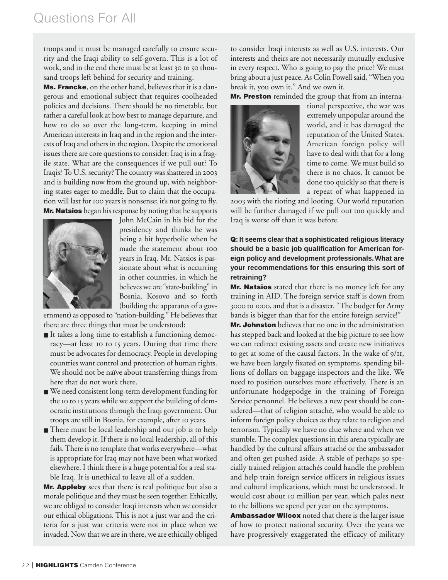## Questions For All

troops and it must be managed carefully to ensure security and the Iraqi ability to self-govern. This is a lot of work, and in the end there must be at least 30 to 50 thousand troops left behind for security and training.

**Ms. Francke**, on the other hand, believes that it is a dangerous and emotional subject that requires coolheaded policies and decisions. There should be no timetable, but rather a careful look at how best to manage departure, and how to do so over the long-term, keeping in mind American interests in Iraq and in the region and the interests of Iraq and others in the region. Despite the emotional issues there are core questions to consider: Iraq is in a fragile state. What are the consequences if we pull out? To Iraqis? To U.S. security? The country was shattered in and is building now from the ground up, with neighboring states eager to meddle. But to claim that the occupation will last for 100 years is nonsense; it's not going to fly. **Mr. Natsios** began his response by noting that he supports



John McCain in his bid for the presidency and thinks he was being a bit hyperbolic when he made the statement about years in Iraq. Mr. Natsios is passionate about what is occurring in other countries, in which he believes we are "state-building" in Bosnia, Kosovo and so forth (building the apparatus of a gov-

ernment) as opposed to "nation-building." He believes that there are three things that must be understood:

- It takes a long time to establish a functioning democracy—at least to to 15 years. During that time there must be advocates for democracy. People in developing countries want control and protection of human rights. We should not be naïve about transferring things from here that do not work there.
- We need consistent long-term development funding for the 10 to 15 years while we support the building of democratic institutions through the Iraqi government. Our troops are still in Bosnia, for example, after 10 years.
- There must be local leadership and our job is to help them develop it. If there is no local leadership, all of this fails. There is no template that works everywhere—what is appropriate for Iraq may not have been what worked elsewhere. I think there is a huge potential for a real stable Iraq. It is unethical to leave all of a sudden.

**Mr. Appleby** sees that there is real politique but also a morale politique and they must be seen together. Ethically, we are obliged to consider Iraqi interests when we consider our ethical obligations. This is not a just war and the criteria for a just war criteria were not in place when we invaded. Now that we are in there, we are ethically obliged

to consider Iraqi interests as well as U.S. interests. Our interests and theirs are not necessarily mutually exclusive in every respect. Who is going to pay the price? We must bring about a just peace. As Colin Powell said, "When you break it, you own it." And we own it.

**Mr. Preston** reminded the group that from an interna-



tional perspective, the war was extremely unpopular around the world, and it has damaged the reputation of the United States. American foreign policy will have to deal with that for a long time to come. We must build so there is no chaos. It cannot be done too quickly so that there is a repeat of what happened in

2003 with the rioting and looting. Our world reputation will be further damaged if we pull out too quickly and Iraq is worse off than it was before.

**Q: It seems clear that a sophisticated religious literacy should be a basic job qualification for American foreign policy and development professionals. What are your recommendations for this ensuring this sort of retraining?** 

**Mr. Natsios** stated that there is no money left for any training in AID. The foreign service staff is down from 3000 to 1000, and that is a disaster. "The budget for Army bands is bigger than that for the entire foreign service!"

**Mr. Johnston** believes that no one in the administration has stepped back and looked at the big picture to see how we can redirect existing assets and create new initiatives to get at some of the causal factors. In the wake of  $9/II$ , we have been largely fixated on symptoms, spending billions of dollars on baggage inspectors and the like. We need to position ourselves more effectively. There is an unfortunate hodgepodge in the training of Foreign Service personnel. He believes a new post should be considered—that of religion attaché, who would be able to inform foreign policy choices as they relate to religion and terrorism. Typically we have no clue where and when we stumble. The complex questions in this arena typically are handled by the cultural affairs attaché or the ambassador and often get pushed aside. A stable of perhaps 30 specially trained religion attachés could handle the problem and help train foreign service officers in religious issues and cultural implications, which must be understood. It would cost about 10 million per year, which pales next to the billions we spend per year on the symptoms.

**Ambassador Wilcox** noted that there is the larger issue of how to protect national security. Over the years we have progressively exaggerated the efficacy of military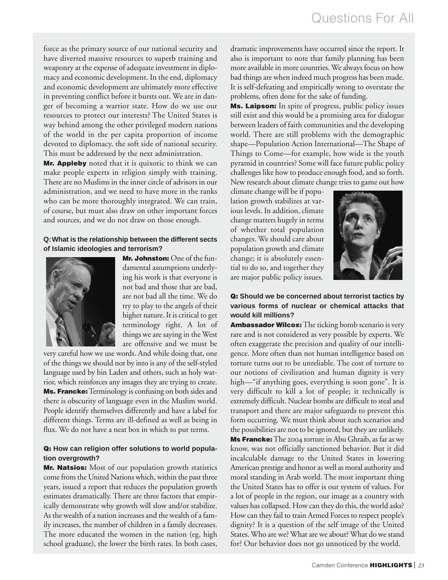force as the primary source of our national security and have diverted massive resources to superb training and weaponry at the expense of adequate investment in diplomacy and economic development. In the end, diplomacy and economic development are ultimately more effective in preventing conflict before it bursts out. We are in danger of becoming a warrior state. How do we use our resources to protect our interests? The United States is way behind among the other privileged modern nations of the world in the per capita proportion of income devoted to diplomacy, the soft side of national security. This must be addressed by the next administration.

**Mr. Appleby** noted that it is quixotic to think we can make people experts in religion simply with training. There are no Muslims in the inner circle of advisors in our administration, and we need to have more in the ranks who can be more thoroughly integrated. We can train, of course, but must also draw on other important forces and sources, and we do not draw on those enough.

#### **Q:What is the relationship between the different sects of Islamic ideologies and terrorism?**



**Mr. Johnston:** One of the fundamental assumptions underlying his work is that everyone is not bad and those that are bad, are not bad all the time. We do try to play to the angels of their higher nature. It is critical to get terminology right. A lot of things we are saying in the West are offensive and we must be

very careful how we use words. And while doing that, one of the things we should not by into is any of the self-styled language used by bin Laden and others, such as holy warrior, which reinforces any images they are trying to create. **Ms. Francke:**Terminology is confusing on both sides and there is obscurity of language even in the Muslim world. People identify themselves differently and have a label for different things. Terms are ill-defined as well as being in flux. We do not have a neat box in which to put terms.

#### **Q: How can religion offer solutions to world population overgrowth?**

**Mr. Natsios:** Most of our population growth statistics come from the United Nations which, within the past three years, issued a report that reduces the population growth estimates dramatically. There are three factors that empirically demonstrate why growth will slow and/or stabilize. As the wealth of a nation increases and the wealth of a family increases, the number of children in a family decreases. The more educated the women in the nation (eg, high school graduate), the lower the birth rates. In both cases,

dramatic improvements have occurred since the report. It also is important to note that family planning has been more available in more countries. We always focus on how bad things are when indeed much progress has been made. It is self-defeating and empirically wrong to overstate the problems, often done for the sake of funding.

**Ms. Laipson:** In spite of progress, public policy issues still exist and this would be a promising area for dialogue between leaders of faith communities and the developing world. There are still problems with the demographic shape—Population Action International—The Shape of Things to Come—for example, how wide is the youth pyramid in countries? Some will face future public policy challenges like how to produce enough food, and so forth. New research about climate change tries to game out how

climate change will be if population growth stabilizes at various levels. In addition, climate change matters hugely in terms of whether total population changes. We should care about population growth and climate change; it is absolutely essential to do so, and together they are major public policy issues.



#### **Q: Should we be concerned about terrorist tactics by various forms of nuclear or chemical attacks that would kill millions?**

**Ambassador Wilcox:**The ticking bomb scenario is very rare and is not considered as very possible by experts. We often exaggerate the precision and quality of our intelligence. More often than not human intelligence based on torture turns out to be unreliable. The cost of torture to our notions of civilization and human dignity is very high—"if anything goes, everything is soon gone". It is very difficult to kill a lot of people; it technically is extremely difficult. Nuclear bombs are difficult to steal and transport and there are major safeguards to prevent this form occurring. We must think about such scenarios and the possibilities are not to be ignored, but they are unlikely. **Ms Francke:** The 2004 torture in Abu Ghraib, as far as we know, was not officially sanctioned behavior. But it did incalculable damage to the United States in lowering American prestige and honor as well as moral authority and moral standing in Arab world. The most important thing the United States has to offer is our system of values. For a lot of people in the region, our image as a country with values has collapsed. How can they do this, the world asks? How can they fail to train Armed Forces to respect people's dignity? It is a question of the self image of the United States. Who are we? What are we about? What do we stand for? Our behavior does not go unnoticed by the world.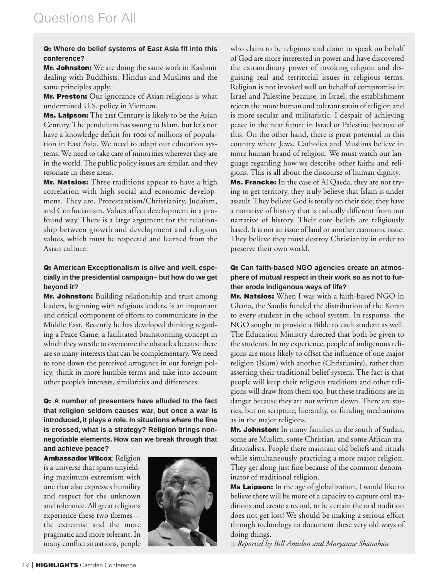#### **Q: Where do belief systems of East Asia fit into this conference?**

**Mr. Johnston:** We are doing the same work in Kashmir dealing with Buddhists, Hindus and Muslims and the same principles apply.

**Mr. Preston:** Our ignorance of Asian religions is what undermined U.S. policy in Vietnam.

**Ms. Laipson:** The 21st Century is likely to be the Asian Century. The pendulum has swung to Islam, but let's not have a knowledge deficit for 100s of millions of population in East Asia. We need to adapt our education systems. We need to take care of minorities wherever they are in the world. The public policy issues are similar, and they resonate in these areas.

**Mr. Natsios:** Three traditions appear to have a high correlation with high social and economic development. They are, Protestantism/Christianity, Judaism, and Confucianism. Values affect development in a profound way. There is a large argument for the relationship between growth and development and religious values, which must be respected and learned from the Asian culture.

#### **Q: American Exceptionalism is alive and well, especially in the presidential campaign– but how do we get beyond it?**

**Mr. Johnston:** Building relationship and trust among leaders, beginning with religious leaders, is an important and critical component of efforts to communicate in the Middle East. Recently he has developed thinking regarding a Peace Game, a facilitated brainstorming concept in which they wrestle to overcome the obstacles because there are so many interests that can be complementary. We need to tone down the perceived arrogance in our foreign policy, think in more humble terms and take into account other people's interests, similarities and differences.

**Q: A number of presenters have alluded to the fact that religion seldom causes war, but once a war is introduced, it plays a role. In situations where the line is crossed, what is a strategy? Religion brings nonnegotiable elements. How can we break through that and achieve peace?**

**Ambassador Wilcox**: Religion is a universe that spans unyielding maximum extremism with one that also expresses humility and respect for the unknown and tolerance. All great religions experience these two themes the extremist and the more pragmatic and more tolerant. In many conflict situations, people



who claim to be religious and claim to speak on behalf of God are more interested in power and have discovered the extraordinary power of invoking religion and disguising real and territorial issues in religious terms. Religion is not invoked well on behalf of compromise in Israel and Palestine because, in Israel, the establishment rejects the more human and tolerant strain of religion and is more secular and militaristic. I despair of achieving peace in the near future in Israel or Palestine because of this. On the other hand, there is great potential in this country where Jews, Catholics and Muslims believe in more human brand of religion. We must watch our language regarding how we describe other faiths and religions. This is all about the discourse of human dignity. **Ms. Francke:** In the case of Al Qaeda, they are not trying to get territory, they truly believe that Islam is under assault. They believe God is totally on their side; they have a narrative of history that is radically different from our narrative of history. Their core beliefs are religiously based. It is not an issue of land or another economic issue. They believe they must destroy Christianity in order to preserve their own world.

#### **Q: Can faith-based NGO agencies create an atmosphere of mutual respect in their work so as not to further erode indigenous ways of life?**

**Mr. Natsios:** When I was with a faith-based NGO in Ghana, the Saudis funded the distribution of the Koran to every student in the school system. In response, the NGO sought to provide a Bible to each student as well. The Education Ministry directed that both be given to the students. In my experience, people of indigenous religions are more likely to offset the influence of one major religion (Islam) with another (Christianity), rather than asserting their traditional belief system. The fact is that people will keep their religious traditions and other religions will draw from them too, but these traditions are in danger because they are not written down. There are stories, but no scripture, hierarchy, or funding mechanisms as in the major religions.

**Mr. Johnston:** In many families in the south of Sudan, some are Muslim, some Christian, and some African traditionalists. People there maintain old beliefs and rituals while simultaneously practicing a more major religion. They get along just fine because of the common denominator of traditional religion.

**Ms Laipson:** In the age of globalization, I would like to believe there will be more of a capacity to capture oral traditions and create a record, to be certain the oral tradition does not get lost! We should be making a serious effort through technology to document these very old ways of doing things.

■ *Reported by Bill Amidon and Maryanne Shanahan*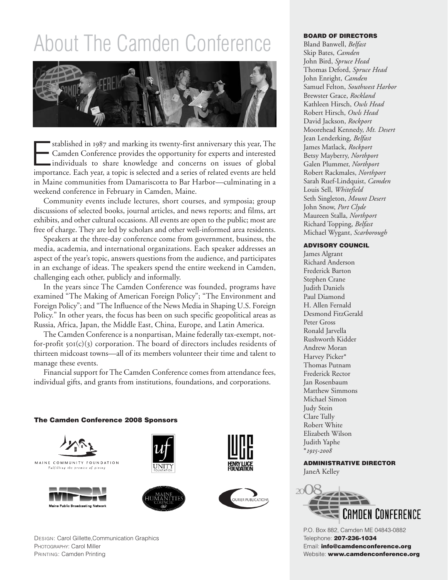# About The Camden Conference



stablished in 1987 and marking its twenty-first anniversary this year, The<br>
Camden Conference provides the opportunity for experts and interested<br>
individuals to share knowledge and concerns on issues of global<br>
importance Camden Conference provides the opportunity for experts and interested importance. Each year, a topic is selected and a series of related events are held in Maine communities from Damariscotta to Bar Harbor—culminating in a weekend conference in February in Camden, Maine.

Community events include lectures, short courses, and symposia; group discussions of selected books, journal articles, and news reports; and films, art exhibits, and other cultural occasions. All events are open to the public; most are free of charge. They are led by scholars and other well-informed area residents.

Speakers at the three-day conference come from government, business, the media, academia, and international organizations. Each speaker addresses an aspect of the year's topic, answers questions from the audience, and participates in an exchange of ideas. The speakers spend the entire weekend in Camden, challenging each other, publicly and informally.

In the years since The Camden Conference was founded, programs have examined "The Making of American Foreign Policy"; "The Environment and Foreign Policy"; and "The Influence of the News Media in Shaping U.S. Foreign Policy." In other years, the focus has been on such specific geopolitical areas as Russia, Africa, Japan, the Middle East, China, Europe, and Latin America.

The Camden Conference is a nonpartisan, Maine federally tax-exempt, notfor-profit  $\text{SO}(c)(3)$  corporation. The board of directors includes residents of thirteen midcoast towns—all of its members volunteer their time and talent to manage these events.

Financial support for The Camden Conference comes from attendance fees, individual gifts, and grants from institutions, foundations, and corporations.

#### **The Camden Conference 2008 Sponsors**











DESIGN: Carol Gillette,Communication Graphics PHOTOGRAPHY: Carol Miller PRINTING: Camden Printing

#### **BOARD OF DIRECTORS**

Bland Banwell, *Belfast* Skip Bates, *Camden* John Bird, *Spruce Head* Thomas Deford, *Spruce Head* John Enright, *Camden* Samuel Felton, *Southwest Harbor* Brewster Grace, *Rockland* Kathleen Hirsch, *Owls Head* Robert Hirsch, *Owls Head* David Jackson, *Rockport* Moorehead Kennedy, *Mt. Desert* Jean Lenderking, *Belfast* James Matlack, *Rockport* Betsy Mayberry, *Northport* Galen Plummer, *Northport* Robert Rackmales, *Northport* Sarah Ruef-Lindquist, *Camden* Louis Sell, *Whitefield* Seth Singleton, *Mount Desert* John Snow, *Port Clyde* Maureen Stalla, *Northport* Richard Topping, *Belfast* Michael Wygant, *Scarborough*

#### **ADVISORY COUNCIL**

James Algrant Richard Anderson Frederick Barton Stephen Crane Judith Daniels Paul Diamond H. Allen Fernald Desmond FitzGerald Peter Gross Ronald Jarvella Rushworth Kidder Andrew Moran Harvey Picker\* Thomas Putnam Frederick Rector Jan Rosenbaum Matthew Simmons Michael Simon Judy Stein Clare Tully Robert White Elizabeth Wilson Judith Yaphe \**-*

**ADMINISTRATIVE DIRECTOR** JaneA Kelley



P.O. Box 882, Camden ME 04843-0882 Telephone: **207-236-1034** Email: **info@camdenconference.org** Website: **www.camdenconference.org**